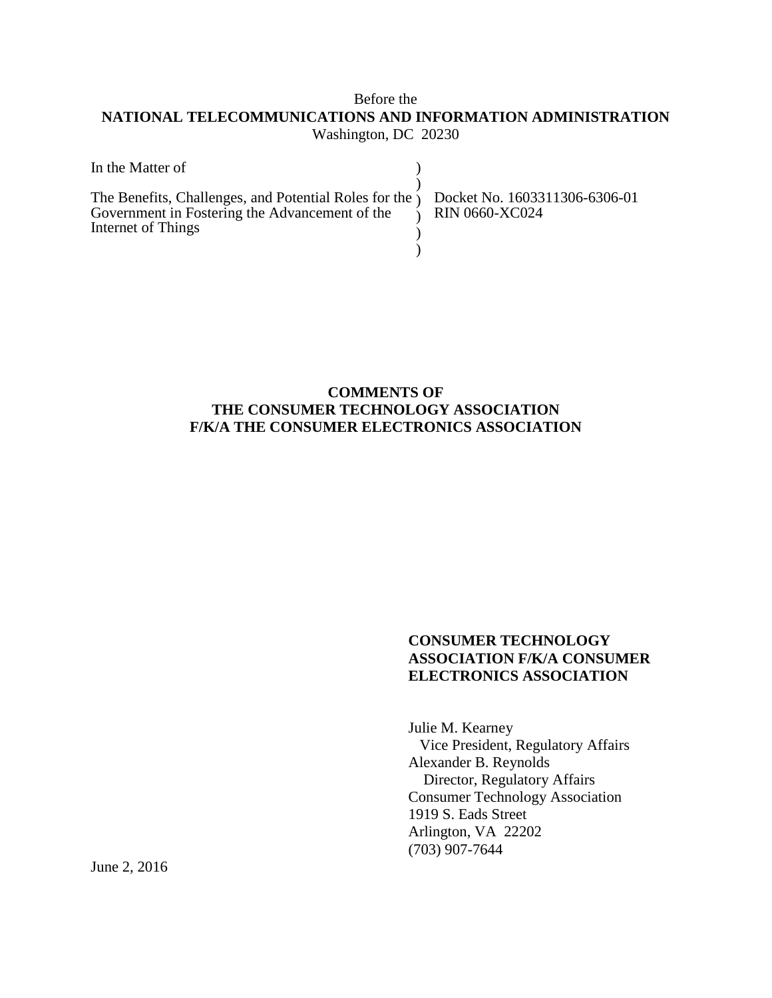### Before the **NATIONAL TELECOMMUNICATIONS AND INFORMATION ADMINISTRATION** Washington, DC 20230

| In the Matter of                                                                                                                                                                        |  |
|-----------------------------------------------------------------------------------------------------------------------------------------------------------------------------------------|--|
| The Benefits, Challenges, and Potential Roles for the ) Docket No. 1603311306-6306-01<br>Government in Fostering the Advancement of the $\bigcirc$ RIN 0660-XC024<br>Internet of Things |  |

#### **COMMENTS OF THE CONSUMER TECHNOLOGY ASSOCIATION F/K/A THE CONSUMER ELECTRONICS ASSOCIATION**

#### **CONSUMER TECHNOLOGY ASSOCIATION F/K/A CONSUMER ELECTRONICS ASSOCIATION**

Julie M. Kearney Vice President, Regulatory Affairs Alexander B. Reynolds Director, Regulatory Affairs Consumer Technology Association 1919 S. Eads Street Arlington, VA 22202 (703) 907-7644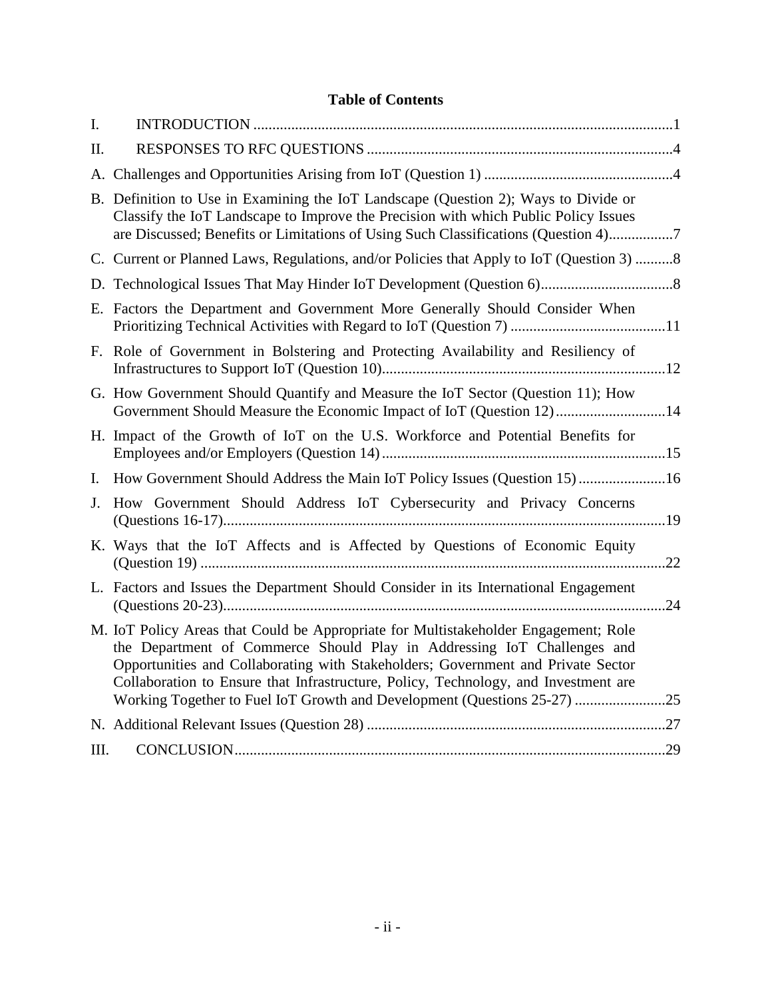# **Table of Contents**

| I.             |                                                                                                                                                                                                                                                                                                                                                                                                                       |     |
|----------------|-----------------------------------------------------------------------------------------------------------------------------------------------------------------------------------------------------------------------------------------------------------------------------------------------------------------------------------------------------------------------------------------------------------------------|-----|
| II.            |                                                                                                                                                                                                                                                                                                                                                                                                                       |     |
|                |                                                                                                                                                                                                                                                                                                                                                                                                                       |     |
|                | B. Definition to Use in Examining the IoT Landscape (Question 2); Ways to Divide or<br>Classify the IoT Landscape to Improve the Precision with which Public Policy Issues<br>are Discussed; Benefits or Limitations of Using Such Classifications (Question 4)7                                                                                                                                                      |     |
|                | C. Current or Planned Laws, Regulations, and/or Policies that Apply to IoT (Question 3) 8                                                                                                                                                                                                                                                                                                                             |     |
|                |                                                                                                                                                                                                                                                                                                                                                                                                                       |     |
|                | E. Factors the Department and Government More Generally Should Consider When                                                                                                                                                                                                                                                                                                                                          |     |
|                | F. Role of Government in Bolstering and Protecting Availability and Resiliency of                                                                                                                                                                                                                                                                                                                                     |     |
|                | G. How Government Should Quantify and Measure the IoT Sector (Question 11); How<br>Government Should Measure the Economic Impact of IoT (Question 12)14                                                                                                                                                                                                                                                               |     |
|                | H. Impact of the Growth of IoT on the U.S. Workforce and Potential Benefits for                                                                                                                                                                                                                                                                                                                                       |     |
| $\mathbf{I}$ . | How Government Should Address the Main IoT Policy Issues (Question 15) 16                                                                                                                                                                                                                                                                                                                                             |     |
| J.             | How Government Should Address IoT Cybersecurity and Privacy Concerns                                                                                                                                                                                                                                                                                                                                                  |     |
|                | K. Ways that the IoT Affects and is Affected by Questions of Economic Equity                                                                                                                                                                                                                                                                                                                                          |     |
|                | L. Factors and Issues the Department Should Consider in its International Engagement                                                                                                                                                                                                                                                                                                                                  | .24 |
|                | M. IoT Policy Areas that Could be Appropriate for Multistakeholder Engagement; Role<br>the Department of Commerce Should Play in Addressing IoT Challenges and<br>Opportunities and Collaborating with Stakeholders; Government and Private Sector<br>Collaboration to Ensure that Infrastructure, Policy, Technology, and Investment are<br>Working Together to Fuel IoT Growth and Development (Questions 25-27) 25 |     |
|                |                                                                                                                                                                                                                                                                                                                                                                                                                       |     |
| III.           |                                                                                                                                                                                                                                                                                                                                                                                                                       |     |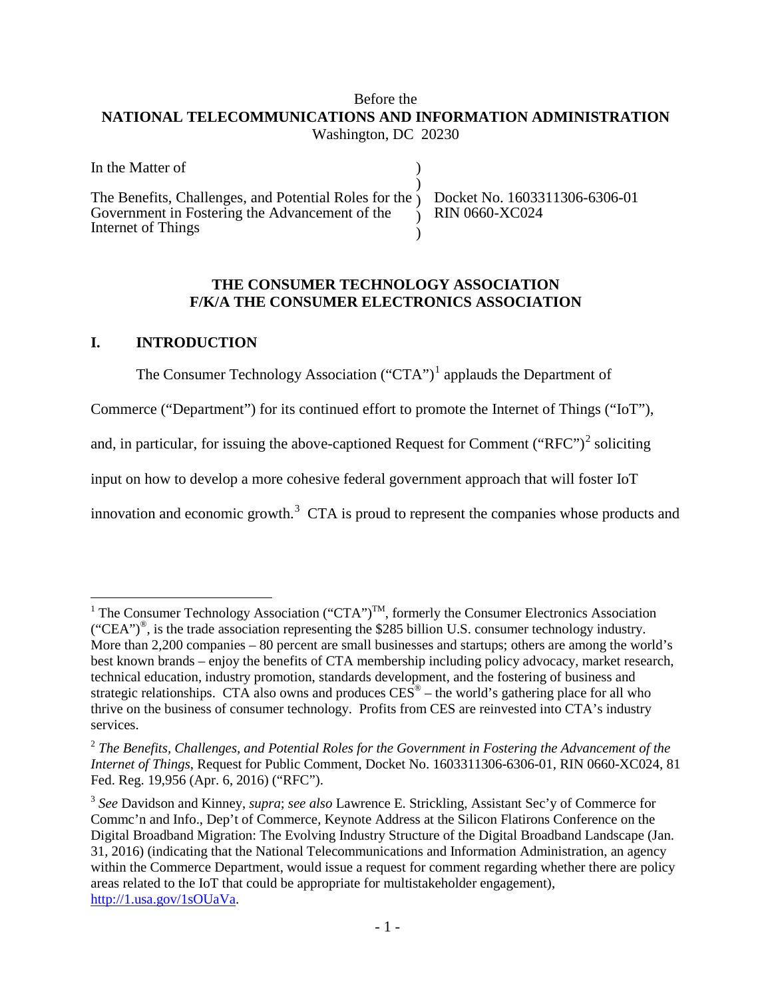#### Before the **NATIONAL TELECOMMUNICATIONS AND INFORMATION ADMINISTRATION** Washington, DC 20230

| In the Matter of                                                                                                                                                                      |  |
|---------------------------------------------------------------------------------------------------------------------------------------------------------------------------------------|--|
| The Benefits, Challenges, and Potential Roles for the ) Docket No. 1603311306-6306-01<br>Government in Fostering the Advancement of the $\gamma$ RIN 0660-XC024<br>Internet of Things |  |

#### **THE CONSUMER TECHNOLOGY ASSOCIATION F/K/A THE CONSUMER ELECTRONICS ASSOCIATION**

### <span id="page-2-0"></span>**I. INTRODUCTION**

The Consumer Technology Association ("CTA")<sup>[1](#page-2-1)</sup> applauds the Department of

Commerce ("Department") for its continued effort to promote the Internet of Things ("IoT"),

and, in particular, for issuing the above-captioned Request for Comment ("RFC")<sup>[2](#page-2-2)</sup> soliciting

input on how to develop a more cohesive federal government approach that will foster IoT

innovation and economic growth.<sup>[3](#page-2-3)</sup> CTA is proud to represent the companies whose products and

<span id="page-2-1"></span><sup>&</sup>lt;sup>1</sup> The Consumer Technology Association ("CTA")<sup>TM</sup>, formerly the Consumer Electronics Association ("CEA")®, is the trade association representing the \$285 billion U.S. consumer technology industry. More than 2,200 companies – 80 percent are small businesses and startups; others are among the world's best known brands – enjoy the benefits of CTA membership including policy advocacy, market research, technical education, industry promotion, standards development, and the fostering of business and strategic relationships. CTA also owns and produces  $CES^{\circledast}$  – the world's gathering place for all who thrive on the business of consumer technology. Profits from CES are reinvested into CTA's industry services.

<span id="page-2-2"></span><sup>2</sup> *The Benefits, Challenges, and Potential Roles for the Government in Fostering the Advancement of the Internet of Things*, Request for Public Comment, Docket No. 1603311306-6306-01, RIN 0660-XC024, 81 Fed. Reg. 19,956 (Apr. 6, 2016) ("RFC").

<span id="page-2-3"></span><sup>3</sup> *See* Davidson and Kinney, *supra*; *see also* Lawrence E. Strickling, Assistant Sec'y of Commerce for Commc'n and Info., Dep't of Commerce, Keynote Address at the Silicon Flatirons Conference on the Digital Broadband Migration: The Evolving Industry Structure of the Digital Broadband Landscape (Jan. 31, 2016) (indicating that the National Telecommunications and Information Administration, an agency within the Commerce Department, would issue a request for comment regarding whether there are policy areas related to the IoT that could be appropriate for multistakeholder engagement), [http://1.usa.gov/1sOUaVa.](http://1.usa.gov/1sOUaVa)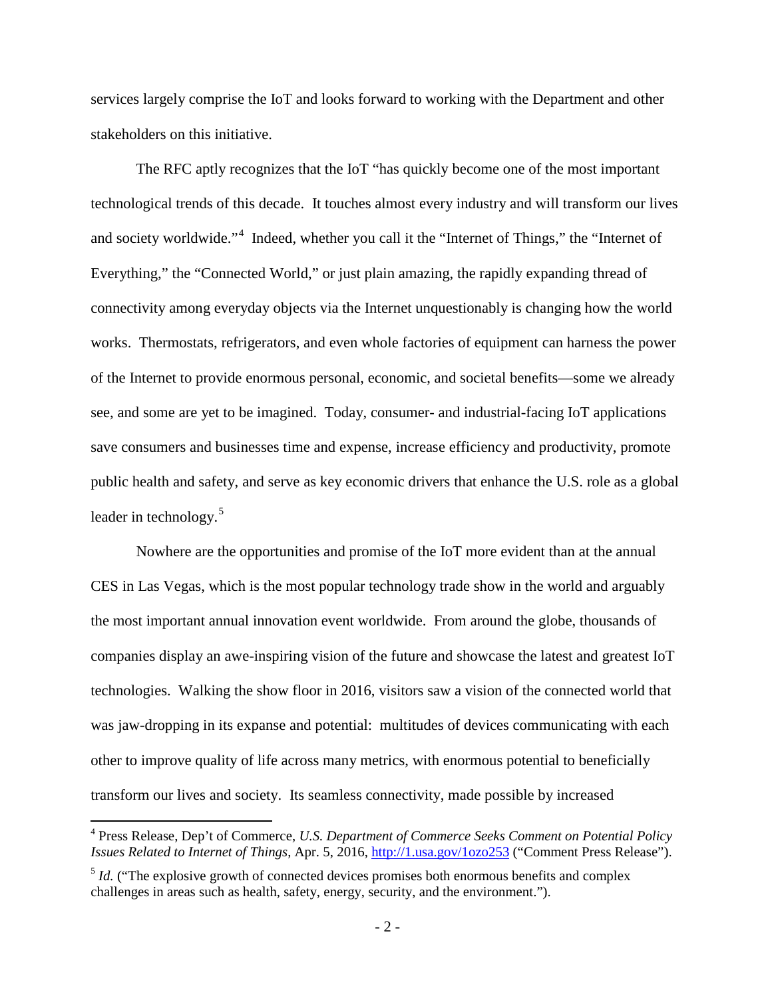services largely comprise the IoT and looks forward to working with the Department and other stakeholders on this initiative.

The RFC aptly recognizes that the IoT "has quickly become one of the most important technological trends of this decade. It touches almost every industry and will transform our lives and society worldwide."<sup>[4](#page-3-0)</sup> Indeed, whether you call it the "Internet of Things," the "Internet of Everything," the "Connected World," or just plain amazing, the rapidly expanding thread of connectivity among everyday objects via the Internet unquestionably is changing how the world works. Thermostats, refrigerators, and even whole factories of equipment can harness the power of the Internet to provide enormous personal, economic, and societal benefits—some we already see, and some are yet to be imagined. Today, consumer- and industrial-facing IoT applications save consumers and businesses time and expense, increase efficiency and productivity, promote public health and safety, and serve as key economic drivers that enhance the U.S. role as a global leader in technology.<sup>[5](#page-3-1)</sup>

Nowhere are the opportunities and promise of the IoT more evident than at the annual CES in Las Vegas, which is the most popular technology trade show in the world and arguably the most important annual innovation event worldwide. From around the globe, thousands of companies display an awe-inspiring vision of the future and showcase the latest and greatest IoT technologies. Walking the show floor in 2016, visitors saw a vision of the connected world that was jaw-dropping in its expanse and potential: multitudes of devices communicating with each other to improve quality of life across many metrics, with enormous potential to beneficially transform our lives and society. Its seamless connectivity, made possible by increased

<span id="page-3-0"></span> <sup>4</sup> Press Release, Dep't of Commerce, *U.S. Department of Commerce Seeks Comment on Potential Policy Issues Related to Internet of Things*, Apr. 5, 2016[, http://1.usa.gov/1ozo253](http://1.usa.gov/1ozo253) ("Comment Press Release").

<span id="page-3-1"></span><sup>&</sup>lt;sup>5</sup> *Id.* ("The explosive growth of connected devices promises both enormous benefits and complex challenges in areas such as health, safety, energy, security, and the environment.").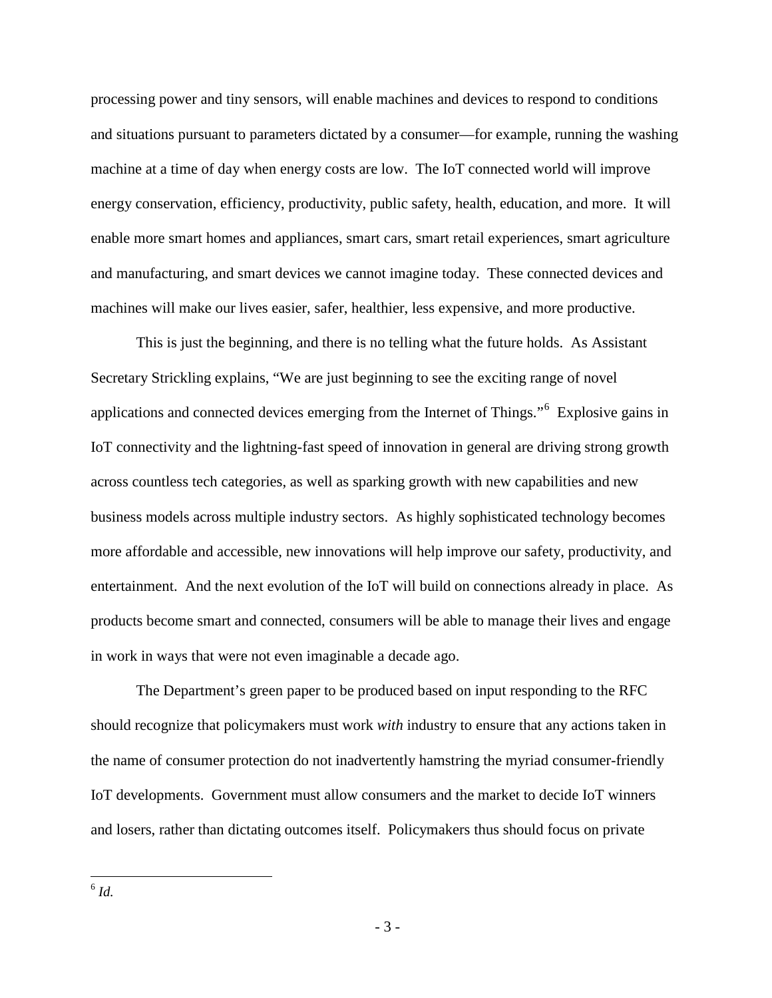processing power and tiny sensors, will enable machines and devices to respond to conditions and situations pursuant to parameters dictated by a consumer—for example, running the washing machine at a time of day when energy costs are low. The IoT connected world will improve energy conservation, efficiency, productivity, public safety, health, education, and more. It will enable more smart homes and appliances, smart cars, smart retail experiences, smart agriculture and manufacturing, and smart devices we cannot imagine today. These connected devices and machines will make our lives easier, safer, healthier, less expensive, and more productive.

This is just the beginning, and there is no telling what the future holds. As Assistant Secretary Strickling explains, "We are just beginning to see the exciting range of novel applications and connected devices emerging from the Internet of Things."<sup>[6](#page-4-0)</sup> Explosive gains in IoT connectivity and the lightning-fast speed of innovation in general are driving strong growth across countless tech categories, as well as sparking growth with new capabilities and new business models across multiple industry sectors. As highly sophisticated technology becomes more affordable and accessible, new innovations will help improve our safety, productivity, and entertainment. And the next evolution of the IoT will build on connections already in place. As products become smart and connected, consumers will be able to manage their lives and engage in work in ways that were not even imaginable a decade ago.

<span id="page-4-0"></span>The Department's green paper to be produced based on input responding to the RFC should recognize that policymakers must work *with* industry to ensure that any actions taken in the name of consumer protection do not inadvertently hamstring the myriad consumer-friendly IoT developments. Government must allow consumers and the market to decide IoT winners and losers, rather than dictating outcomes itself. Policymakers thus should focus on private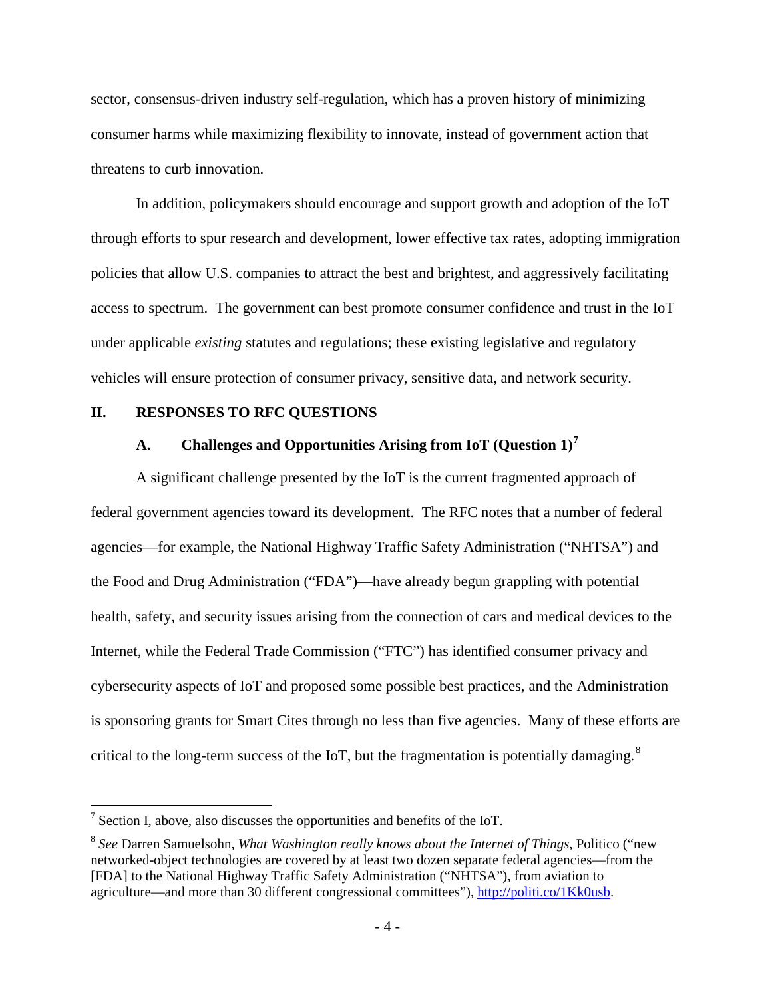sector, consensus-driven industry self-regulation, which has a proven history of minimizing consumer harms while maximizing flexibility to innovate, instead of government action that threatens to curb innovation.

In addition, policymakers should encourage and support growth and adoption of the IoT through efforts to spur research and development, lower effective tax rates, adopting immigration policies that allow U.S. companies to attract the best and brightest, and aggressively facilitating access to spectrum. The government can best promote consumer confidence and trust in the IoT under applicable *existing* statutes and regulations; these existing legislative and regulatory vehicles will ensure protection of consumer privacy, sensitive data, and network security.

#### <span id="page-5-1"></span><span id="page-5-0"></span>**II. RESPONSES TO RFC QUESTIONS**

### **A. Challenges and Opportunities Arising from IoT (Question 1)[7](#page-5-2)**

A significant challenge presented by the IoT is the current fragmented approach of federal government agencies toward its development. The RFC notes that a number of federal agencies—for example, the National Highway Traffic Safety Administration ("NHTSA") and the Food and Drug Administration ("FDA")—have already begun grappling with potential health, safety, and security issues arising from the connection of cars and medical devices to the Internet, while the Federal Trade Commission ("FTC") has identified consumer privacy and cybersecurity aspects of IoT and proposed some possible best practices, and the Administration is sponsoring grants for Smart Cites through no less than five agencies. Many of these efforts are critical to the long-term success of the IoT, but the fragmentation is potentially damaging.<sup>[8](#page-5-3)</sup>

<span id="page-5-2"></span> $<sup>7</sup>$  Section I, above, also discusses the opportunities and benefits of the IoT.</sup>

<span id="page-5-3"></span><sup>8</sup> *See* Darren Samuelsohn, *What Washington really knows about the Internet of Things*, Politico ("new networked-object technologies are covered by at least two dozen separate federal agencies—from the [FDA] to the National Highway Traffic Safety Administration ("NHTSA"), from aviation to agriculture—and more than 30 different congressional committees")[, http://politi.co/1Kk0usb.](http://politi.co/1Kk0usb)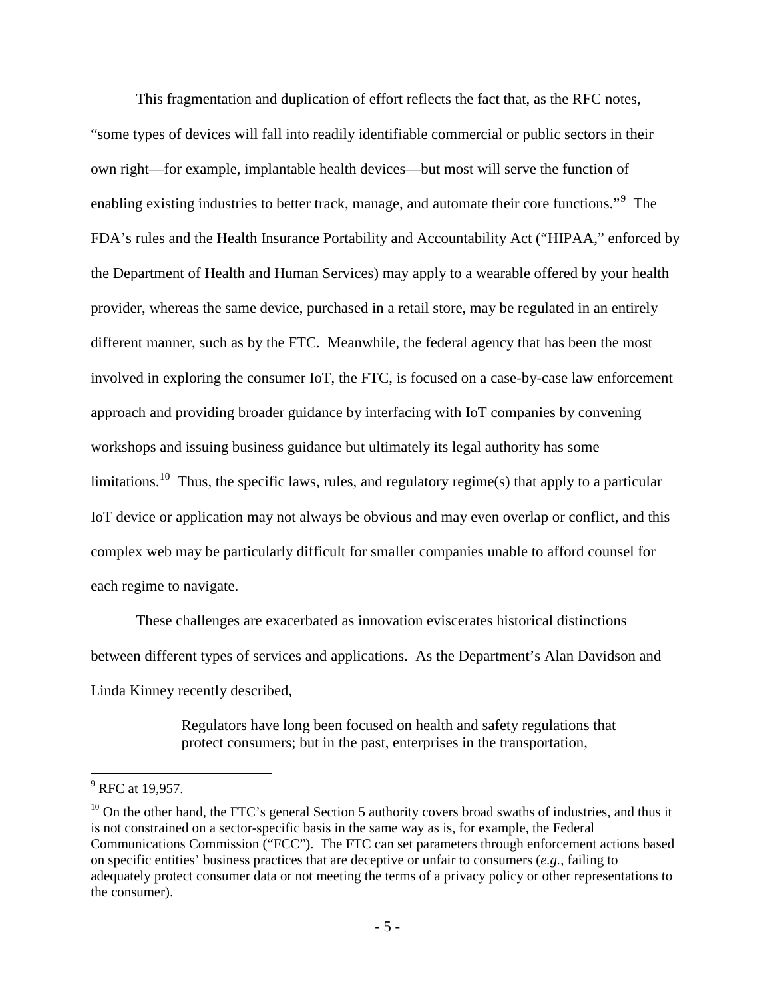This fragmentation and duplication of effort reflects the fact that, as the RFC notes, "some types of devices will fall into readily identifiable commercial or public sectors in their own right—for example, implantable health devices—but most will serve the function of enabling existing industries to better track, manage, and automate their core functions."<sup>[9](#page-6-0)</sup> The FDA's rules and the Health Insurance Portability and Accountability Act ("HIPAA," enforced by the Department of Health and Human Services) may apply to a wearable offered by your health provider, whereas the same device, purchased in a retail store, may be regulated in an entirely different manner, such as by the FTC. Meanwhile, the federal agency that has been the most involved in exploring the consumer IoT, the FTC, is focused on a case-by-case law enforcement approach and providing broader guidance by interfacing with IoT companies by convening workshops and issuing business guidance but ultimately its legal authority has some limitations.<sup>[10](#page-6-1)</sup> Thus, the specific laws, rules, and regulatory regime(s) that apply to a particular IoT device or application may not always be obvious and may even overlap or conflict, and this complex web may be particularly difficult for smaller companies unable to afford counsel for each regime to navigate.

These challenges are exacerbated as innovation eviscerates historical distinctions between different types of services and applications. As the Department's Alan Davidson and Linda Kinney recently described,

> Regulators have long been focused on health and safety regulations that protect consumers; but in the past, enterprises in the transportation,

<span id="page-6-0"></span> $^{9}$  RFC at 19.957.

<span id="page-6-1"></span> $10$  On the other hand, the FTC's general Section 5 authority covers broad swaths of industries, and thus it is not constrained on a sector-specific basis in the same way as is, for example, the Federal Communications Commission ("FCC"). The FTC can set parameters through enforcement actions based on specific entities' business practices that are deceptive or unfair to consumers (*e.g.*, failing to adequately protect consumer data or not meeting the terms of a privacy policy or other representations to the consumer).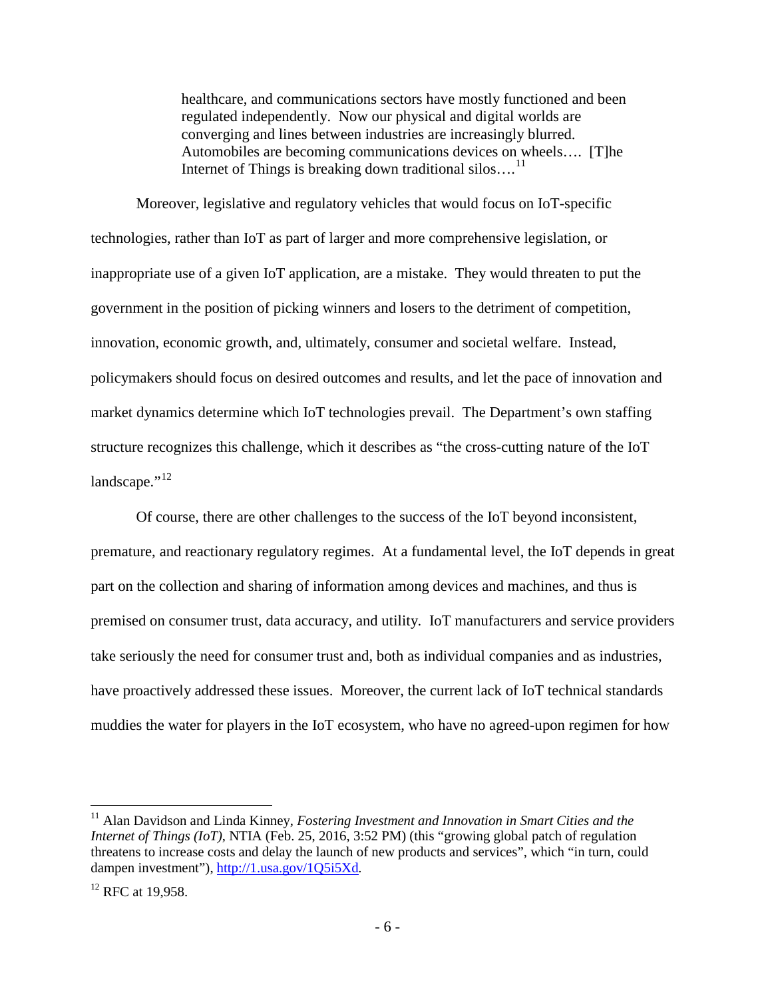healthcare, and communications sectors have mostly functioned and been regulated independently. Now our physical and digital worlds are converging and lines between industries are increasingly blurred. Automobiles are becoming communications devices on wheels…. [T]he Internet of Things is breaking down traditional silos....<sup>[11](#page-7-0)</sup>

Moreover, legislative and regulatory vehicles that would focus on IoT-specific technologies, rather than IoT as part of larger and more comprehensive legislation, or inappropriate use of a given IoT application, are a mistake. They would threaten to put the government in the position of picking winners and losers to the detriment of competition, innovation, economic growth, and, ultimately, consumer and societal welfare. Instead, policymakers should focus on desired outcomes and results, and let the pace of innovation and market dynamics determine which IoT technologies prevail. The Department's own staffing structure recognizes this challenge, which it describes as "the cross-cutting nature of the IoT landscape." $^{12}$  $^{12}$  $^{12}$ 

Of course, there are other challenges to the success of the IoT beyond inconsistent, premature, and reactionary regulatory regimes. At a fundamental level, the IoT depends in great part on the collection and sharing of information among devices and machines, and thus is premised on consumer trust, data accuracy, and utility. IoT manufacturers and service providers take seriously the need for consumer trust and, both as individual companies and as industries, have proactively addressed these issues. Moreover, the current lack of IoT technical standards muddies the water for players in the IoT ecosystem, who have no agreed-upon regimen for how

<span id="page-7-0"></span><sup>&</sup>lt;sup>11</sup> Alan Davidson and Linda Kinney, *Fostering Investment and Innovation in Smart Cities and the Internet of Things (IoT)*, NTIA (Feb. 25, 2016, 3:52 PM) (this "growing global patch of regulation threatens to increase costs and delay the launch of new products and services", which "in turn, could dampen investment"), <http://1.usa.gov/1Q5i5Xd>*.* 

<span id="page-7-1"></span><sup>&</sup>lt;sup>12</sup> RFC at 19.958.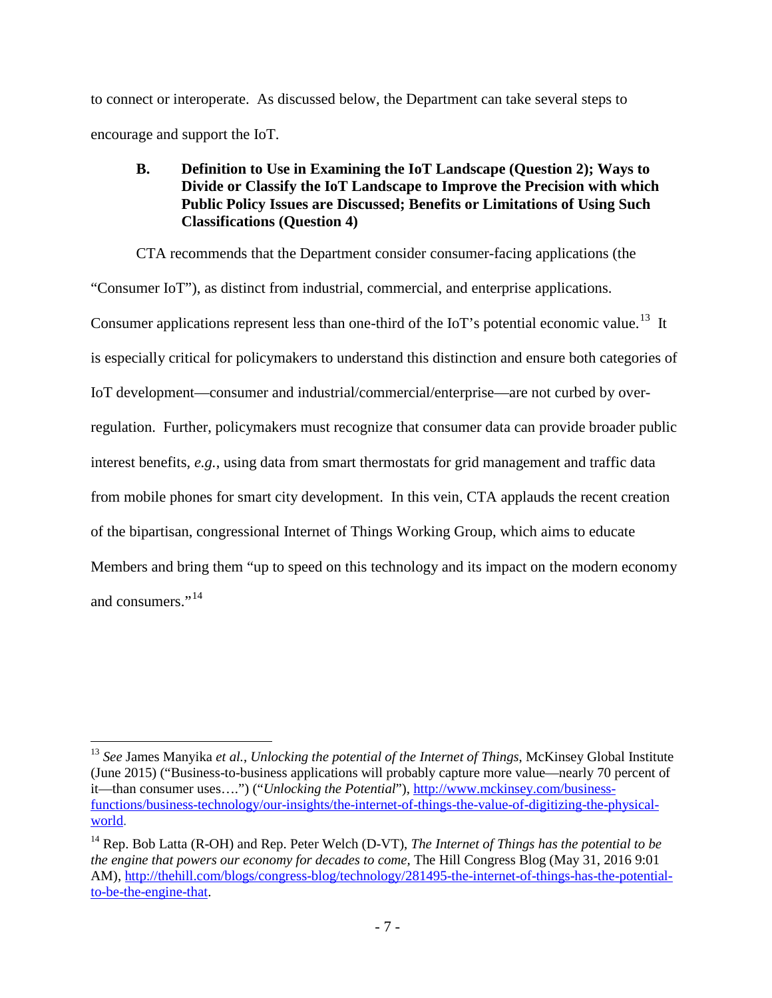to connect or interoperate. As discussed below, the Department can take several steps to encourage and support the IoT.

### <span id="page-8-0"></span>**B. Definition to Use in Examining the IoT Landscape (Question 2); Ways to Divide or Classify the IoT Landscape to Improve the Precision with which Public Policy Issues are Discussed; Benefits or Limitations of Using Such Classifications (Question 4)**

CTA recommends that the Department consider consumer-facing applications (the "Consumer IoT"), as distinct from industrial, commercial, and enterprise applications. Consumer applications represent less than one-third of the IoT's potential economic value.<sup>13</sup> It is especially critical for policymakers to understand this distinction and ensure both categories of IoT development—consumer and industrial/commercial/enterprise—are not curbed by overregulation. Further, policymakers must recognize that consumer data can provide broader public interest benefits, *e.g.*, using data from smart thermostats for grid management and traffic data from mobile phones for smart city development. In this vein, CTA applauds the recent creation of the bipartisan, congressional Internet of Things Working Group, which aims to educate Members and bring them "up to speed on this technology and its impact on the modern economy and consumers."<sup>14</sup>

<span id="page-8-1"></span> <sup>13</sup> *See* James Manyika *et al.*, *Unlocking the potential of the Internet of Things*, McKinsey Global Institute (June 2015) ("Business-to-business applications will probably capture more value—nearly 70 percent of it—than consumer uses….") ("*Unlocking the Potential*"), [http://www.mckinsey.com/business](http://www.mckinsey.com/business-functions/business-technology/our-insights/the-internet-of-things-the-value-of-digitizing-the-physical-world)[functions/business-technology/our-insights/the-internet-of-things-the-value-of-digitizing-the-physical](http://www.mckinsey.com/business-functions/business-technology/our-insights/the-internet-of-things-the-value-of-digitizing-the-physical-world)[world.](http://www.mckinsey.com/business-functions/business-technology/our-insights/the-internet-of-things-the-value-of-digitizing-the-physical-world)

<span id="page-8-2"></span><sup>&</sup>lt;sup>14</sup> Rep. Bob Latta (R-OH) and Rep. Peter Welch (D-VT), *The Internet of Things has the potential to be the engine that powers our economy for decades to come,* The Hill Congress Blog (May 31, 2016 9:01 AM), [http://thehill.com/blogs/congress-blog/technology/281495-the-internet-of-things-has-the-potential](http://thehill.com/blogs/congress-blog/technology/281495-the-internet-of-things-has-the-potential-to-be-the-engine-that)[to-be-the-engine-that.](http://thehill.com/blogs/congress-blog/technology/281495-the-internet-of-things-has-the-potential-to-be-the-engine-that)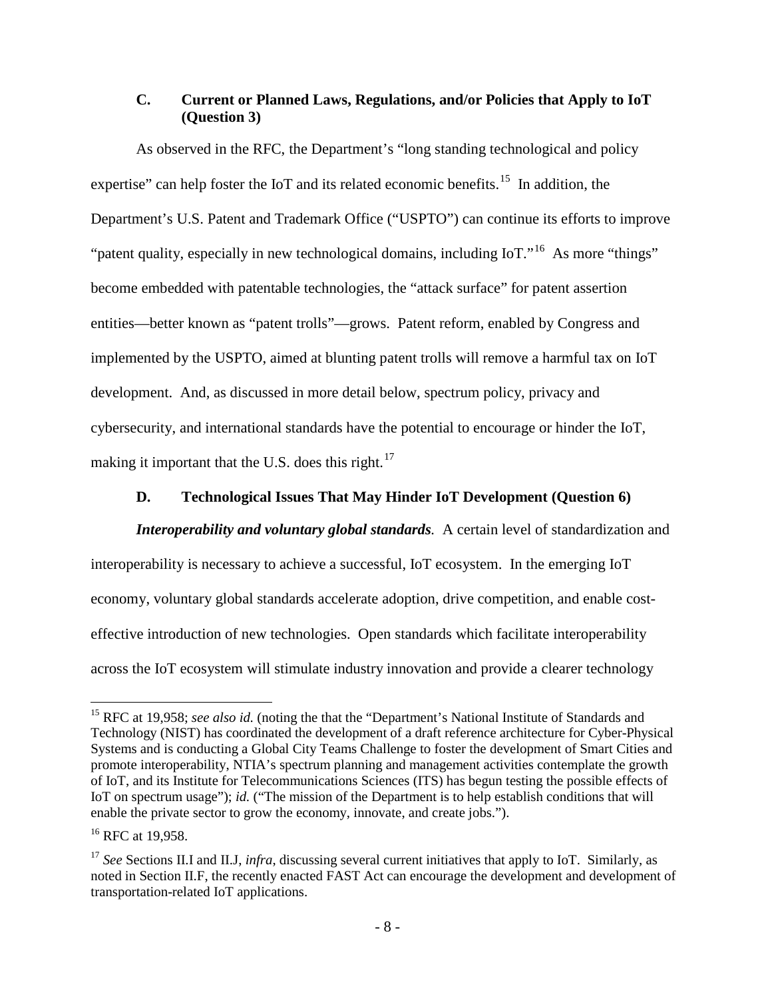### <span id="page-9-0"></span>**C. Current or Planned Laws, Regulations, and/or Policies that Apply to IoT (Question 3)**

As observed in the RFC, the Department's "long standing technological and policy expertise" can help foster the IoT and its related economic benefits.<sup>[15](#page-9-2)</sup> In addition, the Department's U.S. Patent and Trademark Office ("USPTO") can continue its efforts to improve "patent quality, especially in new technological domains, including IoT."<sup>[16](#page-9-3)</sup> As more "things" become embedded with patentable technologies, the "attack surface" for patent assertion entities—better known as "patent trolls"—grows. Patent reform, enabled by Congress and implemented by the USPTO, aimed at blunting patent trolls will remove a harmful tax on IoT development. And, as discussed in more detail below, spectrum policy, privacy and cybersecurity, and international standards have the potential to encourage or hinder the IoT, making it important that the U.S. does this right.<sup>17</sup>

#### **D. Technological Issues That May Hinder IoT Development (Question 6)**

<span id="page-9-1"></span>*Interoperability and voluntary global standards.* A certain level of standardization and interoperability is necessary to achieve a successful, IoT ecosystem. In the emerging IoT economy, voluntary global standards accelerate adoption, drive competition, and enable costeffective introduction of new technologies. Open standards which facilitate interoperability across the IoT ecosystem will stimulate industry innovation and provide a clearer technology

<span id="page-9-2"></span><sup>&</sup>lt;sup>15</sup> RFC at 19,958; *see also id.* (noting the that the "Department's National Institute of Standards and Technology (NIST) has coordinated the development of a draft reference architecture for Cyber-Physical Systems and is conducting a Global City Teams Challenge to foster the development of Smart Cities and promote interoperability, NTIA's spectrum planning and management activities contemplate the growth of IoT, and its Institute for Telecommunications Sciences (ITS) has begun testing the possible effects of IoT on spectrum usage"); *id.* ("The mission of the Department is to help establish conditions that will enable the private sector to grow the economy, innovate, and create jobs.").

<span id="page-9-3"></span> $16$  RFC at 19.958.

<span id="page-9-4"></span><sup>&</sup>lt;sup>17</sup> See Sections II.I and II.J, *infra*, discussing several current initiatives that apply to IoT. Similarly, as noted in Section II.F, the recently enacted FAST Act can encourage the development and development of transportation-related IoT applications.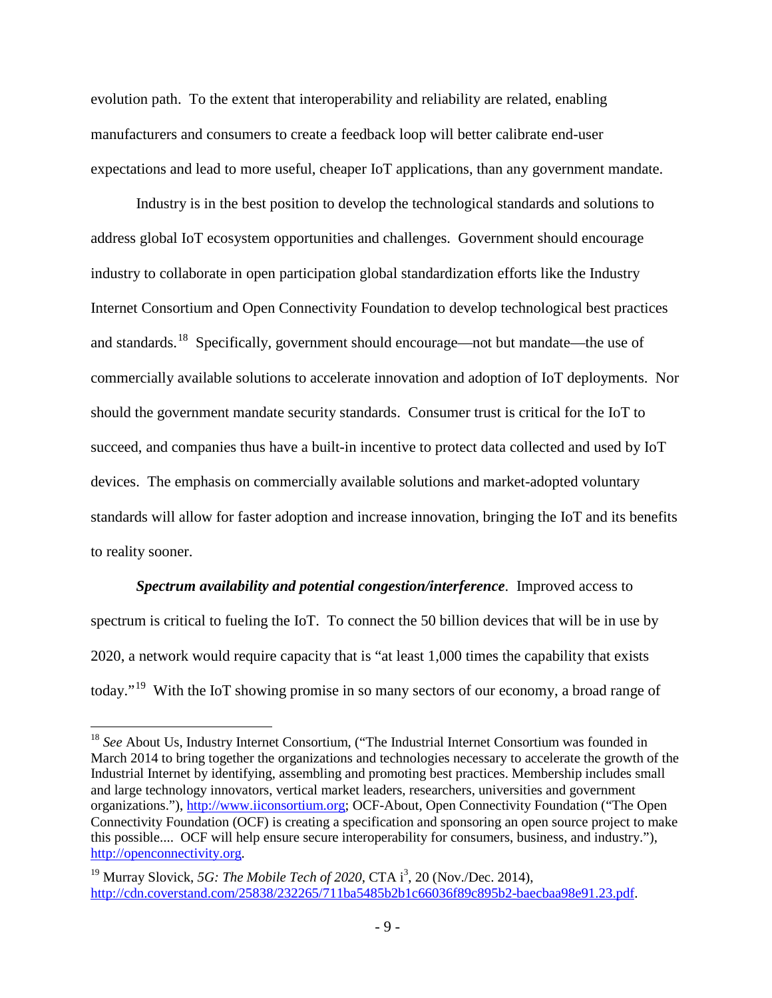evolution path. To the extent that interoperability and reliability are related, enabling manufacturers and consumers to create a feedback loop will better calibrate end-user expectations and lead to more useful, cheaper IoT applications, than any government mandate.

Industry is in the best position to develop the technological standards and solutions to address global IoT ecosystem opportunities and challenges. Government should encourage industry to collaborate in open participation global standardization efforts like the Industry Internet Consortium and Open Connectivity Foundation to develop technological best practices and standards.[18](#page-10-0) Specifically, government should encourage—not but mandate—the use of commercially available solutions to accelerate innovation and adoption of IoT deployments. Nor should the government mandate security standards. Consumer trust is critical for the IoT to succeed, and companies thus have a built-in incentive to protect data collected and used by IoT devices. The emphasis on commercially available solutions and market-adopted voluntary standards will allow for faster adoption and increase innovation, bringing the IoT and its benefits to reality sooner.

*Spectrum availability and potential congestion/interference*. Improved access to spectrum is critical to fueling the IoT. To connect the 50 billion devices that will be in use by 2020, a network would require capacity that is "at least 1,000 times the capability that exists today."[19](#page-10-1) With the IoT showing promise in so many sectors of our economy, a broad range of

<span id="page-10-0"></span><sup>&</sup>lt;sup>18</sup> See About Us, Industry Internet Consortium, ("The Industrial Internet Consortium was founded in March 2014 to bring together the organizations and technologies necessary to accelerate the growth of the Industrial Internet by identifying, assembling and promoting best practices. Membership includes small and large technology innovators, vertical market leaders, researchers, universities and government organizations."), [http://www.iiconsortium.org;](http://www.iiconsortium.org/) OCF-About, Open Connectivity Foundation ("The Open Connectivity Foundation (OCF) is creating a specification and sponsoring an open source project to make this possible.... OCF will help ensure secure interoperability for consumers, business, and industry."), [http://openconnectivity.org.](http://openconnectivity.org/)

<span id="page-10-1"></span><sup>&</sup>lt;sup>19</sup> Murray Slovick, 5G: The Mobile Tech of 2020, CTA  $i^3$ , 20 (Nov./Dec. 2014), [http://cdn.coverstand.com/25838/232265/711ba5485b2b1c66036f89c895b2-baecbaa98e91.23.pdf.](http://cdn.coverstand.com/25838/232265/711ba5485b2b1c66036f89c895b2-baecbaa98e91.23.pdf)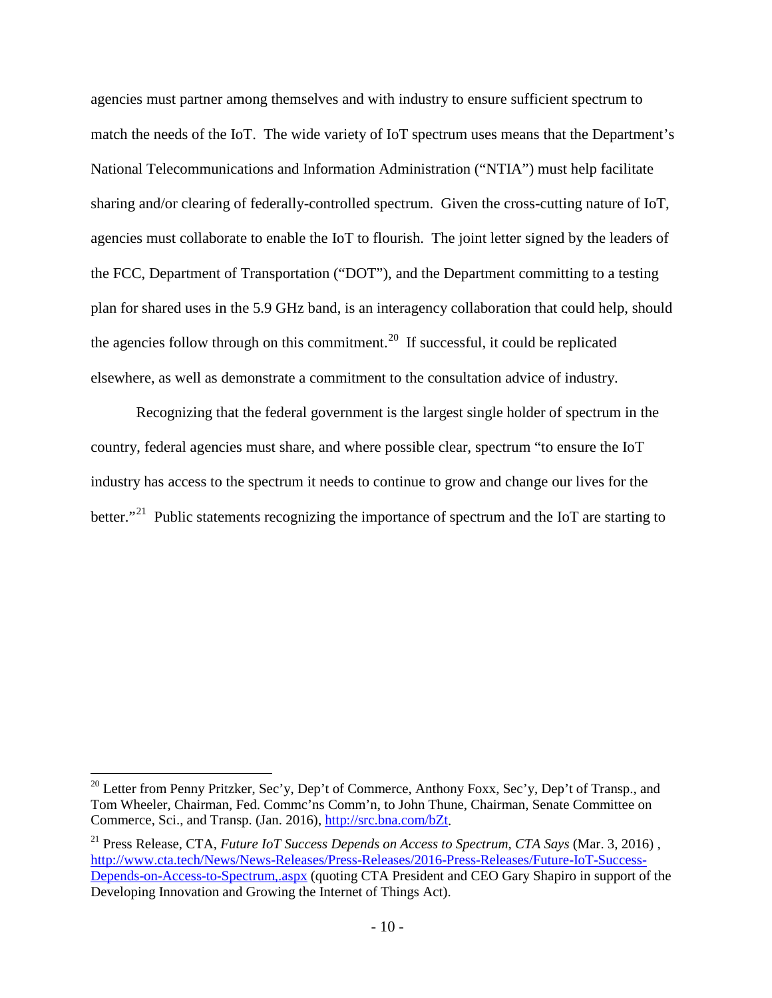agencies must partner among themselves and with industry to ensure sufficient spectrum to match the needs of the IoT. The wide variety of IoT spectrum uses means that the Department's National Telecommunications and Information Administration ("NTIA") must help facilitate sharing and/or clearing of federally-controlled spectrum. Given the cross-cutting nature of IoT, agencies must collaborate to enable the IoT to flourish. The joint letter signed by the leaders of the FCC, Department of Transportation ("DOT"), and the Department committing to a testing plan for shared uses in the 5.9 GHz band, is an interagency collaboration that could help, should the agencies follow through on this commitment.<sup>[20](#page-11-0)</sup> If successful, it could be replicated elsewhere, as well as demonstrate a commitment to the consultation advice of industry.

Recognizing that the federal government is the largest single holder of spectrum in the country, federal agencies must share, and where possible clear, spectrum "to ensure the IoT industry has access to the spectrum it needs to continue to grow and change our lives for the better."<sup>[21](#page-11-1)</sup> Public statements recognizing the importance of spectrum and the IoT are starting to

<span id="page-11-0"></span><sup>&</sup>lt;sup>20</sup> Letter from Penny Pritzker, Sec'y, Dep't of Commerce, Anthony Foxx, Sec'y, Dep't of Transp., and Tom Wheeler, Chairman, Fed. Commc'ns Comm'n, to John Thune, Chairman, Senate Committee on Commerce, Sci., and Transp. (Jan. 2016)[, http://src.bna.com/bZt.](http://src.bna.com/bZt)

<span id="page-11-1"></span><sup>21</sup> Press Release, CTA, *Future IoT Success Depends on Access to Spectrum, CTA Says* (Mar. 3, 2016) , [http://www.cta.tech/News/News-Releases/Press-Releases/2016-Press-Releases/Future-IoT-Success-](http://www.cta.tech/News/News-Releases/Press-Releases/2016-Press-Releases/Future-IoT-Success-Depends-on-Access-to-Spectrum,.aspx)[Depends-on-Access-to-Spectrum,.aspx](http://www.cta.tech/News/News-Releases/Press-Releases/2016-Press-Releases/Future-IoT-Success-Depends-on-Access-to-Spectrum,.aspx) (quoting CTA President and CEO Gary Shapiro in support of the Developing Innovation and Growing the Internet of Things Act).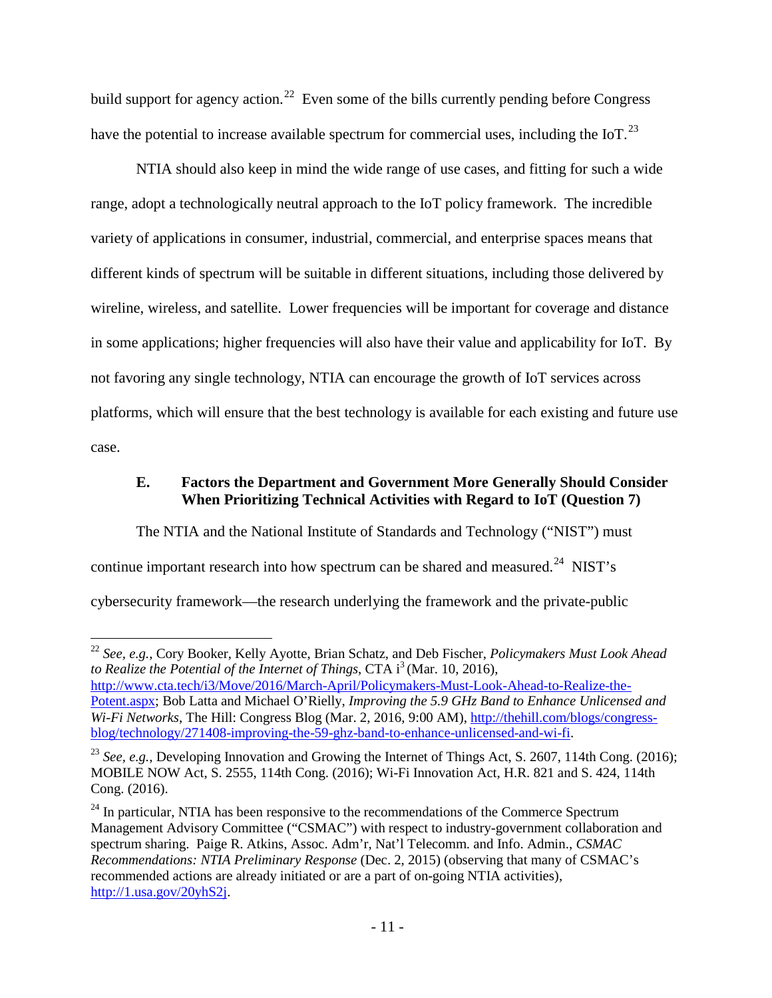build support for agency action.<sup>22</sup> Even some of the bills currently pending before Congress have the potential to increase available spectrum for commercial uses, including the IoT.<sup>[23](#page-12-2)</sup>

NTIA should also keep in mind the wide range of use cases, and fitting for such a wide range, adopt a technologically neutral approach to the IoT policy framework. The incredible variety of applications in consumer, industrial, commercial, and enterprise spaces means that different kinds of spectrum will be suitable in different situations, including those delivered by wireline, wireless, and satellite. Lower frequencies will be important for coverage and distance in some applications; higher frequencies will also have their value and applicability for IoT. By not favoring any single technology, NTIA can encourage the growth of IoT services across platforms, which will ensure that the best technology is available for each existing and future use case.

### <span id="page-12-0"></span>**E. Factors the Department and Government More Generally Should Consider When Prioritizing Technical Activities with Regard to IoT (Question 7)**

The NTIA and the National Institute of Standards and Technology ("NIST") must continue important research into how spectrum can be shared and measured.<sup>24</sup> NIST's cybersecurity framework—the research underlying the framework and the private-public

<span id="page-12-1"></span> <sup>22</sup> *See, e.g.*, Cory Booker, Kelly Ayotte, Brian Schatz, and Deb Fischer, *Policymakers Must Look Ahead to Realize the Potential of the Internet of Things*, CTA i<sup>3</sup> (Mar. 10, 2016), [http://www.cta.tech/i3/Move/2016/March-April/Policymakers-Must-Look-Ahead-to-Realize-the-](http://www.cta.tech/i3/Move/2016/March-April/Policymakers-Must-Look-Ahead-to-Realize-the-Potent.aspx)[Potent.aspx;](http://www.cta.tech/i3/Move/2016/March-April/Policymakers-Must-Look-Ahead-to-Realize-the-Potent.aspx) Bob Latta and Michael O'Rielly, *Improving the 5.9 GHz Band to Enhance Unlicensed and Wi-Fi Networks*, The Hill: Congress Blog (Mar. 2, 2016, 9:00 AM), [http://thehill.com/blogs/congress](http://thehill.com/blogs/congress-blog/technology/271408-improving-the-59-ghz-band-to-enhance-unlicensed-and-wi-fi)[blog/technology/271408-improving-the-59-ghz-band-to-enhance-unlicensed-and-wi-fi.](http://thehill.com/blogs/congress-blog/technology/271408-improving-the-59-ghz-band-to-enhance-unlicensed-and-wi-fi)

<span id="page-12-2"></span><sup>&</sup>lt;sup>23</sup> *See, e.g.*, Developing Innovation and Growing the Internet of Things Act, S. 2607, 114th Cong. (2016); MOBILE NOW Act, S. 2555, 114th Cong. (2016); Wi-Fi Innovation Act, H.R. 821 and S. 424, 114th Cong. (2016).

<span id="page-12-3"></span> $24$  In particular, NTIA has been responsive to the recommendations of the Commerce Spectrum Management Advisory Committee ("CSMAC") with respect to industry-government collaboration and spectrum sharing. Paige R. Atkins, Assoc. Adm'r, Nat'l Telecomm. and Info. Admin., *CSMAC Recommendations: NTIA Preliminary Response* (Dec. 2, 2015) (observing that many of CSMAC's recommended actions are already initiated or are a part of on-going NTIA activities), [http://1.usa.gov/20yhS2j.](http://1.usa.gov/20yhS2j)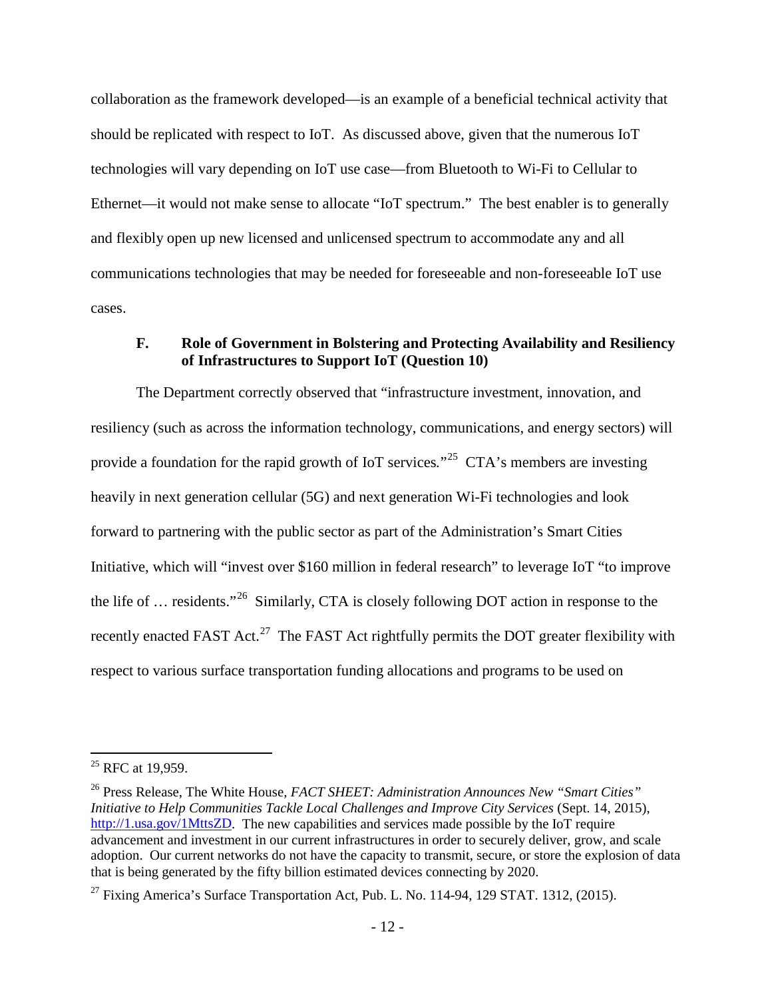collaboration as the framework developed—is an example of a beneficial technical activity that should be replicated with respect to IoT. As discussed above, given that the numerous IoT technologies will vary depending on IoT use case—from Bluetooth to Wi-Fi to Cellular to Ethernet—it would not make sense to allocate "IoT spectrum." The best enabler is to generally and flexibly open up new licensed and unlicensed spectrum to accommodate any and all communications technologies that may be needed for foreseeable and non-foreseeable IoT use cases.

#### <span id="page-13-0"></span>**F. Role of Government in Bolstering and Protecting Availability and Resiliency of Infrastructures to Support IoT (Question 10)**

The Department correctly observed that "infrastructure investment, innovation, and resiliency (such as across the information technology, communications, and energy sectors) will provide a foundation for the rapid growth of IoT services*.*"[25](#page-13-1) CTA's members are investing heavily in next generation cellular (5G) and next generation Wi-Fi technologies and look forward to partnering with the public sector as part of the Administration's Smart Cities Initiative, which will "invest over \$160 million in federal research" to leverage IoT "to improve the life of … residents."[26](#page-13-2) Similarly, CTA is closely following DOT action in response to the recently enacted FAST Act.<sup>27</sup> The FAST Act rightfully permits the DOT greater flexibility with respect to various surface transportation funding allocations and programs to be used on

<span id="page-13-1"></span> $25$  RFC at 19.959.

<span id="page-13-2"></span><sup>26</sup> Press Release, The White House, *FACT SHEET: Administration Announces New "Smart Cities" Initiative to Help Communities Tackle Local Challenges and Improve City Services* (Sept. 14, 2015), [http://1.usa.gov/1MttsZD.](http://1.usa.gov/1MttsZD) The new capabilities and services made possible by the IoT require advancement and investment in our current infrastructures in order to securely deliver, grow, and scale adoption. Our current networks do not have the capacity to transmit, secure, or store the explosion of data that is being generated by the fifty billion estimated devices connecting by 2020.

<span id="page-13-3"></span><sup>&</sup>lt;sup>27</sup> Fixing America's Surface Transportation Act, Pub. L. No. 114-94, 129 STAT. 1312, (2015).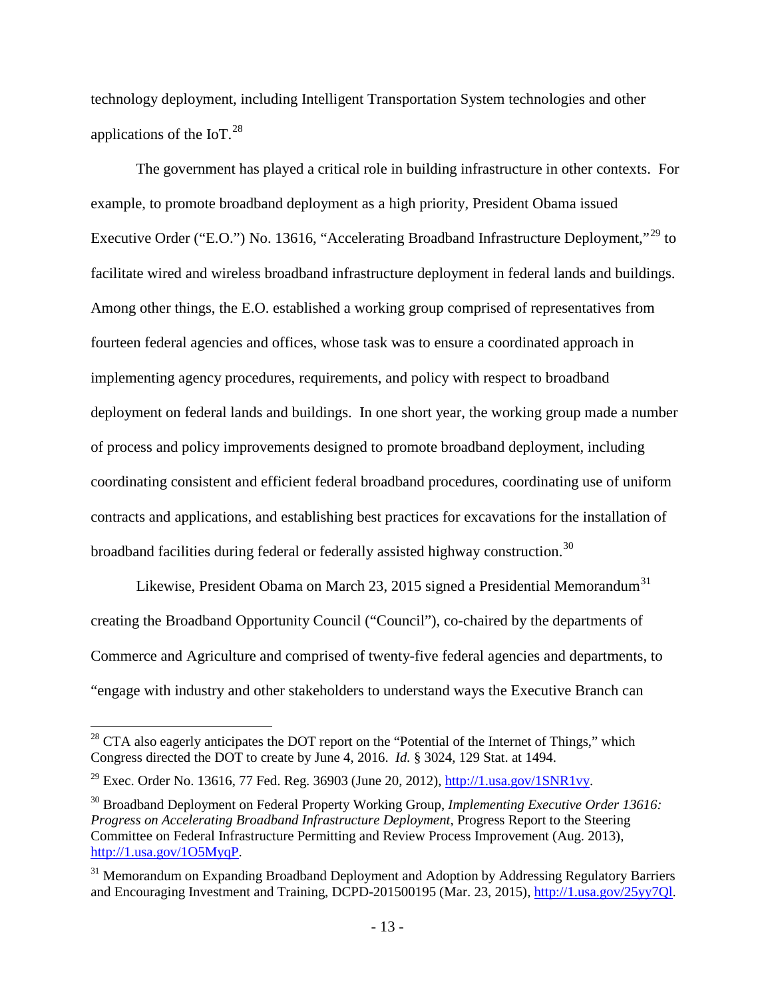technology deployment, including Intelligent Transportation System technologies and other applications of the IoT. $^{28}$  $^{28}$  $^{28}$ 

The government has played a critical role in building infrastructure in other contexts. For example, to promote broadband deployment as a high priority, President Obama issued Executive Order ("E.O.") No. 13616, "Accelerating Broadband Infrastructure Deployment,"<sup>[29](#page-14-1)</sup> to facilitate wired and wireless broadband infrastructure deployment in federal lands and buildings. Among other things, the E.O. established a working group comprised of representatives from fourteen federal agencies and offices, whose task was to ensure a coordinated approach in implementing agency procedures, requirements, and policy with respect to broadband deployment on federal lands and buildings. In one short year, the working group made a number of process and policy improvements designed to promote broadband deployment, including coordinating consistent and efficient federal broadband procedures, coordinating use of uniform contracts and applications, and establishing best practices for excavations for the installation of broadband facilities during federal or federally assisted highway construction.<sup>[30](#page-14-2)</sup>

Likewise, President Obama on March 23, 2015 signed a Presidential Memorandum<sup>[31](#page-14-3)</sup> creating the Broadband Opportunity Council ("Council"), co-chaired by the departments of Commerce and Agriculture and comprised of twenty-five federal agencies and departments, to "engage with industry and other stakeholders to understand ways the Executive Branch can

<span id="page-14-0"></span> $^{28}$  CTA also eagerly anticipates the DOT report on the "Potential of the Internet of Things," which Congress directed the DOT to create by June 4, 2016. *Id.* § 3024, 129 Stat. at 1494.

<span id="page-14-1"></span><sup>&</sup>lt;sup>29</sup> Exec. Order No. 13616, 77 Fed. Reg. 36903 (June 20, 2012),  $\frac{http://l.usa.gov/15NR1vy}{http://l.usa.gov/15NR1vy}$ .

<span id="page-14-2"></span><sup>30</sup> Broadband Deployment on Federal Property Working Group, *Implementing Executive Order 13616: Progress on Accelerating Broadband Infrastructure Deployment*, Progress Report to the Steering Committee on Federal Infrastructure Permitting and Review Process Improvement (Aug. 2013), [http://1.usa.gov/1O5MyqP.](http://1.usa.gov/1O5MyqP)

<span id="page-14-3"></span><sup>&</sup>lt;sup>31</sup> Memorandum on Expanding Broadband Deployment and Adoption by Addressing Regulatory Barriers and Encouraging Investment and Training, DCPD-201500195 (Mar. 23, 2015)[, http://1.usa.gov/25yy7Ql.](http://1.usa.gov/25yy7Ql)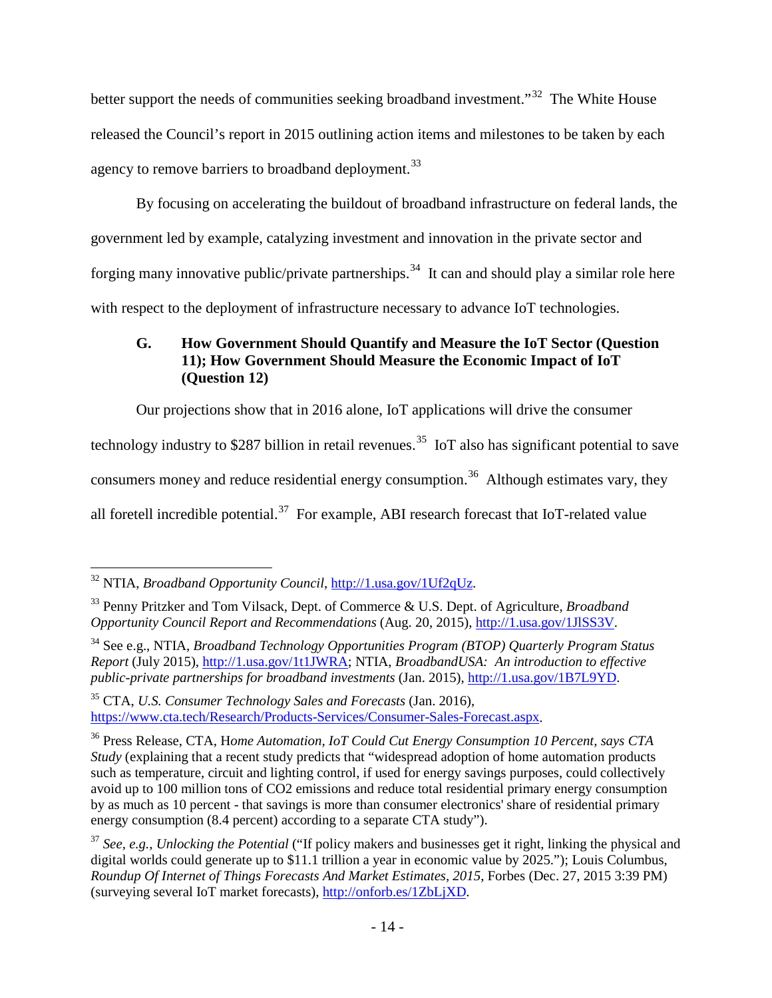better support the needs of communities seeking broadband investment."<sup>[32](#page-15-1)</sup> The White House released the Council's report in 2015 outlining action items and milestones to be taken by each agency to remove barriers to broadband deployment.<sup>[33](#page-15-2)</sup>

By focusing on accelerating the buildout of broadband infrastructure on federal lands, the government led by example, catalyzing investment and innovation in the private sector and forging many innovative public/private partnerships.<sup>34</sup> It can and should play a similar role here with respect to the deployment of infrastructure necessary to advance IoT technologies.

# <span id="page-15-0"></span>**G. How Government Should Quantify and Measure the IoT Sector (Question 11); How Government Should Measure the Economic Impact of IoT (Question 12)**

Our projections show that in 2016 alone, IoT applications will drive the consumer

technology industry to \$287 billion in retail revenues.<sup>[35](#page-15-4)</sup> IoT also has significant potential to save

consumers money and reduce residential energy consumption.<sup>36</sup> Although estimates vary, they

all foretell incredible potential.<sup>[37](#page-15-6)</sup> For example, ABI research forecast that IoT-related value

<span id="page-15-4"></span><sup>35</sup> CTA, *U.S. Consumer Technology Sales and Forecasts* (Jan. 2016), [https://www.cta.tech/Research/Products-Services/Consumer-Sales-Forecast.aspx.](https://www.cta.tech/Research/Products-Services/Consumer-Sales-Forecast.aspx)

<span id="page-15-1"></span> <sup>32</sup> NTIA, *Broadband Opportunity Council*, [http://1.usa.gov/1Uf2qUz.](http://1.usa.gov/1Uf2qUz)

<span id="page-15-2"></span><sup>33</sup> Penny Pritzker and Tom Vilsack, Dept. of Commerce & U.S. Dept. of Agriculture, *Broadband Opportunity Council Report and Recommendations* (Aug. 20, 2015), [http://1.usa.gov/1JlSS3V.](http://1.usa.gov/1JlSS3V)

<span id="page-15-3"></span><sup>34</sup> See e.g., NTIA, *Broadband Technology Opportunities Program (BTOP) Quarterly Program Status Report* (July 2015), [http://1.usa.gov/1t1JWRA;](http://1.usa.gov/1t1JWRA) NTIA, *BroadbandUSA: An introduction to effective public-private partnerships for broadband investments* (Jan. 2015), [http://1.usa.gov/1B7L9YD.](http://1.usa.gov/1B7L9YD)

<span id="page-15-5"></span><sup>36</sup> Press Release, CTA, H*ome Automation, IoT Could Cut Energy Consumption 10 Percent, says CTA Study* (explaining that a recent study predicts that "widespread adoption of home automation products such as temperature, circuit and lighting control, if used for energy savings purposes, could collectively avoid up to 100 million tons of CO2 emissions and reduce total residential primary energy consumption by as much as 10 percent - that savings is more than consumer electronics' share of residential primary energy consumption (8.4 percent) according to a separate CTA study").

<span id="page-15-6"></span><sup>37</sup> *See, e.g.*, *Unlocking the Potential* ("If policy makers and businesses get it right, linking the physical and digital worlds could generate up to \$11.1 trillion a year in economic value by 2025."); Louis Columbus, *Roundup Of Internet of Things Forecasts And Market Estimates, 2015*, Forbes (Dec. 27, 2015 3:39 PM) (surveying several IoT market forecasts), [http://onforb.es/1ZbLjXD.](http://onforb.es/1ZbLjXD)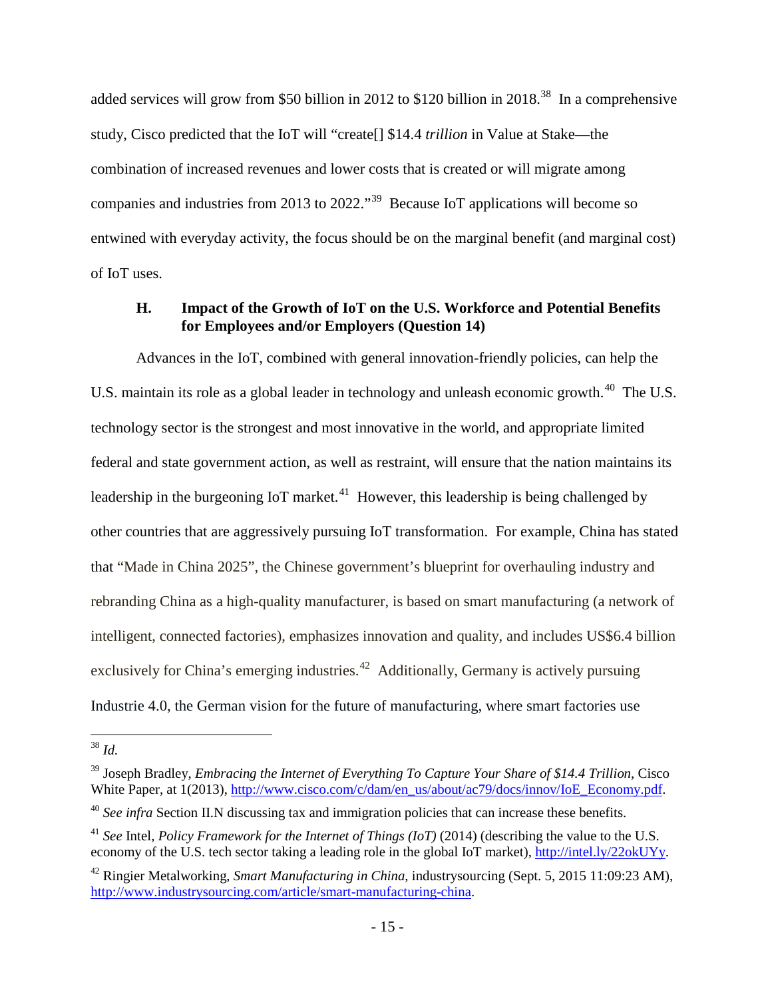added services will grow from \$50 billion in 2012 to \$120 billion in 2018.<sup>[38](#page-16-1)</sup> In a comprehensive study, Cisco predicted that the IoT will "create[] \$14.4 *trillion* in Value at Stake—the combination of increased revenues and lower costs that is created or will migrate among companies and industries from 2013 to 2022."[39](#page-16-2) Because IoT applications will become so entwined with everyday activity, the focus should be on the marginal benefit (and marginal cost) of IoT uses.

### <span id="page-16-0"></span>**H. Impact of the Growth of IoT on the U.S. Workforce and Potential Benefits for Employees and/or Employers (Question 14)**

Advances in the IoT, combined with general innovation-friendly policies, can help the U.S. maintain its role as a global leader in technology and unleash economic growth.<sup>40</sup> The U.S. technology sector is the strongest and most innovative in the world, and appropriate limited federal and state government action, as well as restraint, will ensure that the nation maintains its leadership in the burgeoning IoT market.<sup>[41](#page-16-4)</sup> However, this leadership is being challenged by other countries that are aggressively pursuing IoT transformation. For example, China has stated that "Made in China 2025", the Chinese government's blueprint for overhauling industry and rebranding China as a high-quality manufacturer, is based on smart manufacturing (a network of intelligent, connected factories), emphasizes innovation and quality, and includes US\$6.4 billion exclusively for China's emerging industries.<sup>42</sup> Additionally, Germany is actively pursuing Industrie 4.0, the German vision for the future of manufacturing, where smart factories use

<span id="page-16-1"></span> $38$  *Id.* 

<span id="page-16-2"></span><sup>39</sup> Joseph Bradley, *Embracing the Internet of Everything To Capture Your Share of \$14.4 Trillion*, Cisco White Paper, at 1(2013), [http://www.cisco.com/c/dam/en\\_us/about/ac79/docs/innov/IoE\\_Economy.pdf.](http://www.cisco.com/c/dam/en_us/about/ac79/docs/innov/IoE_Economy.pdf)

<span id="page-16-3"></span><sup>&</sup>lt;sup>40</sup> See infra Section II.N discussing tax and immigration policies that can increase these benefits.

<span id="page-16-4"></span><sup>&</sup>lt;sup>41</sup> See Intel, *Policy Framework for the Internet of Things (IoT)* (2014) (describing the value to the U.S. economy of the U.S. tech sector taking a leading role in the global IoT market), [http://intel.ly/22okUYy.](http://intel.ly/22okUYy)

<span id="page-16-5"></span><sup>42</sup> Ringier Metalworking, *Smart Manufacturing in China*, industrysourcing (Sept. 5, 2015 11:09:23 AM), [http://www.industrysourcing.com/article/smart-manufacturing-china.](http://www.industrysourcing.com/article/smart-manufacturing-china)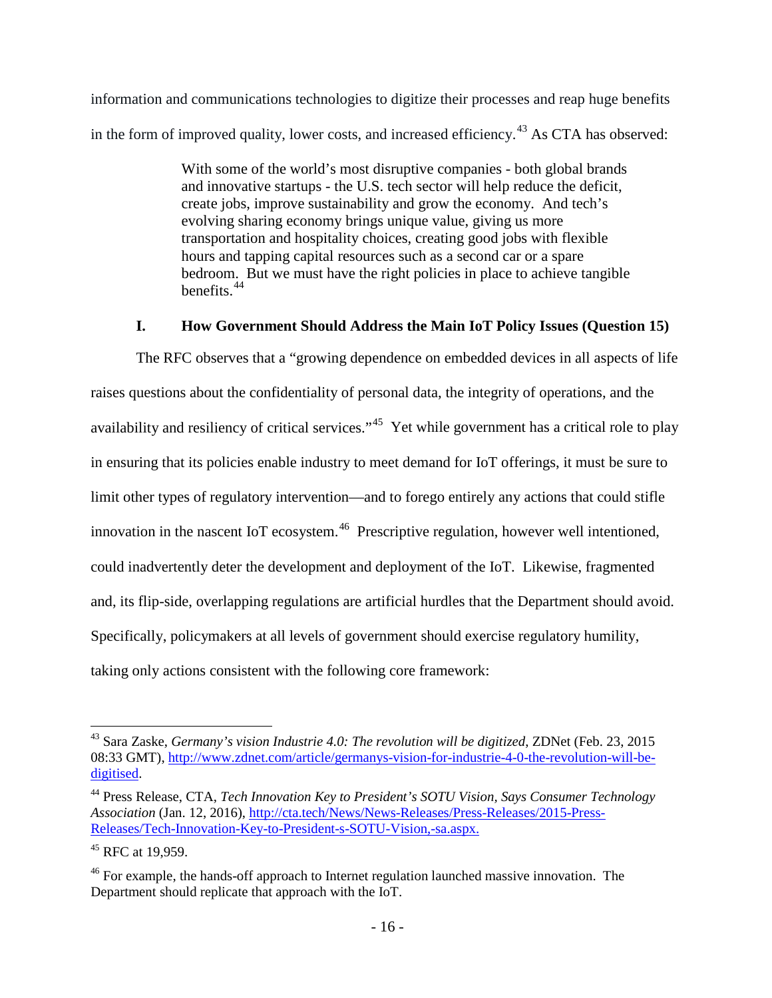information and communications technologies to digitize their processes and reap huge benefits in the form of improved quality, lower costs, and increased efficiency.<sup>[43](#page-17-1)</sup> As CTA has observed:

> With some of the world's most disruptive companies - both global brands and innovative startups - the U.S. tech sector will help reduce the deficit, create jobs, improve sustainability and grow the economy. And tech's evolving sharing economy brings unique value, giving us more transportation and hospitality choices, creating good jobs with flexible hours and tapping capital resources such as a second car or a spare bedroom. But we must have the right policies in place to achieve tangible benefits.[44](#page-17-2)

### **I. How Government Should Address the Main IoT Policy Issues (Question 15)**

<span id="page-17-0"></span>The RFC observes that a "growing dependence on embedded devices in all aspects of life raises questions about the confidentiality of personal data, the integrity of operations, and the availability and resiliency of critical services."<sup>45</sup> Yet while government has a critical role to play in ensuring that its policies enable industry to meet demand for IoT offerings, it must be sure to limit other types of regulatory intervention—and to forego entirely any actions that could stifle innovation in the nascent IoT ecosystem.<sup>[46](#page-17-4)</sup> Prescriptive regulation, however well intentioned, could inadvertently deter the development and deployment of the IoT. Likewise, fragmented and, its flip-side, overlapping regulations are artificial hurdles that the Department should avoid. Specifically, policymakers at all levels of government should exercise regulatory humility, taking only actions consistent with the following core framework:

<span id="page-17-1"></span> <sup>43</sup> Sara Zaske, *Germany's vision Industrie 4.0: The revolution will be digitized*, ZDNet (Feb. 23, 2015 08:33 GMT), [http://www.zdnet.com/article/germanys-vision-for-industrie-4-0-the-revolution-will-be](http://www.zdnet.com/article/germanys-vision-for-industrie-4-0-the-revolution-will-be-digitised)[digitised.](http://www.zdnet.com/article/germanys-vision-for-industrie-4-0-the-revolution-will-be-digitised)

<span id="page-17-2"></span><sup>44</sup> Press Release, CTA, *Tech Innovation Key to President's SOTU Vision, Says Consumer Technology Association* (Jan. 12, 2016), [http://cta.tech/News/News-Releases/Press-Releases/2015-Press-](http://cta.tech/News/News-Releases/Press-Releases/2015-Press-Releases/Tech-Innovation-Key-to-President-s-SOTU-Vision,-sa.aspx)[Releases/Tech-Innovation-Key-to-President-s-SOTU-Vision,-sa.aspx.](http://cta.tech/News/News-Releases/Press-Releases/2015-Press-Releases/Tech-Innovation-Key-to-President-s-SOTU-Vision,-sa.aspx)

<span id="page-17-3"></span><sup>&</sup>lt;sup>45</sup> RFC at 19,959.

<span id="page-17-4"></span><sup>&</sup>lt;sup>46</sup> For example, the hands-off approach to Internet regulation launched massive innovation. The Department should replicate that approach with the IoT.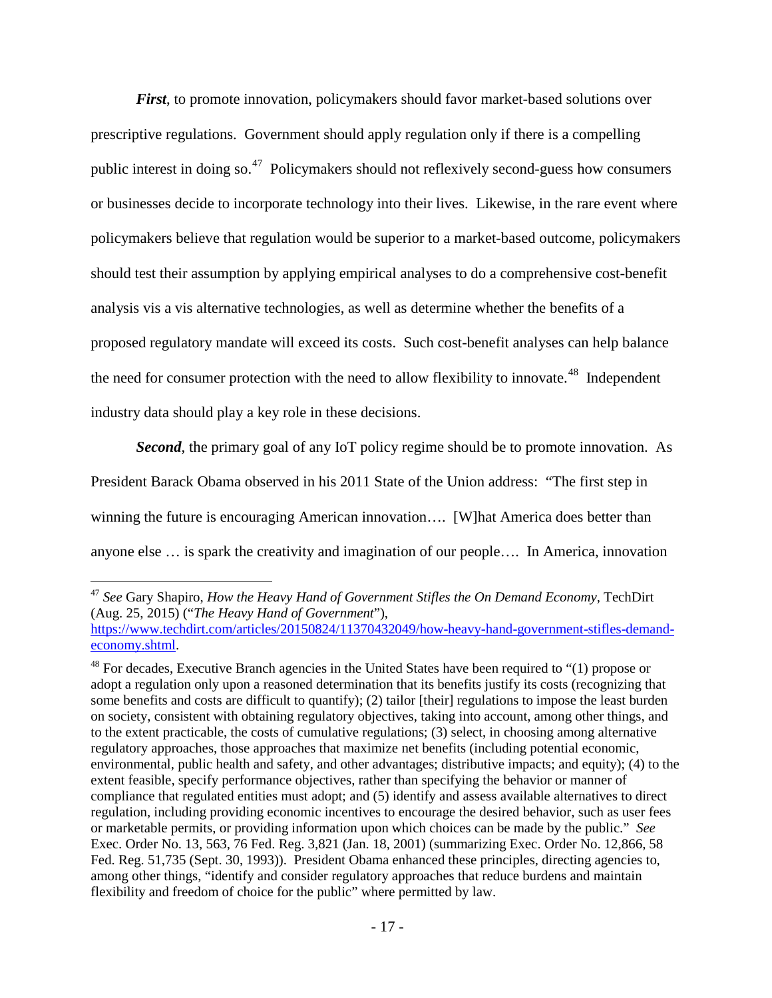*First*, to promote innovation, policymakers should favor market-based solutions over prescriptive regulations. Government should apply regulation only if there is a compelling public interest in doing so.[47](#page-18-0) Policymakers should not reflexively second-guess how consumers or businesses decide to incorporate technology into their lives. Likewise, in the rare event where policymakers believe that regulation would be superior to a market-based outcome, policymakers should test their assumption by applying empirical analyses to do a comprehensive cost-benefit analysis vis a vis alternative technologies, as well as determine whether the benefits of a proposed regulatory mandate will exceed its costs. Such cost-benefit analyses can help balance the need for consumer protection with the need to allow flexibility to innovate.<sup>[48](#page-18-1)</sup> Independent industry data should play a key role in these decisions.

**Second**, the primary goal of any IoT policy regime should be to promote innovation. As

President Barack Obama observed in his 2011 State of the Union address: "The first step in

winning the future is encouraging American innovation.... [W] hat America does better than

anyone else … is spark the creativity and imagination of our people…. In America, innovation

<span id="page-18-0"></span> <sup>47</sup> *See* Gary Shapiro, *How the Heavy Hand of Government Stifles the On Demand Economy*, TechDirt (Aug. 25, 2015) ("*The Heavy Hand of Government*"),

[https://www.techdirt.com/articles/20150824/11370432049/how-heavy-hand-government-stifles-demand](https://www.techdirt.com/articles/20150824/11370432049/how-heavy-hand-government-stifles-demand-economy.shtml)[economy.shtml.](https://www.techdirt.com/articles/20150824/11370432049/how-heavy-hand-government-stifles-demand-economy.shtml)

<span id="page-18-1"></span> $48$  For decades, Executive Branch agencies in the United States have been required to "(1) propose or adopt a regulation only upon a reasoned determination that its benefits justify its costs (recognizing that some benefits and costs are difficult to quantify); (2) tailor [their] regulations to impose the least burden on society, consistent with obtaining regulatory objectives, taking into account, among other things, and to the extent practicable, the costs of cumulative regulations; (3) select, in choosing among alternative regulatory approaches, those approaches that maximize net benefits (including potential economic, environmental, public health and safety, and other advantages; distributive impacts; and equity); (4) to the extent feasible, specify performance objectives, rather than specifying the behavior or manner of compliance that regulated entities must adopt; and (5) identify and assess available alternatives to direct regulation, including providing economic incentives to encourage the desired behavior, such as user fees or marketable permits, or providing information upon which choices can be made by the public." *See*  Exec. Order No. 13, 563, 76 Fed. Reg. 3,821 (Jan. 18, 2001) (summarizing Exec. Order No. 12,866, 58 Fed. Reg. 51,735 (Sept. 30, 1993)). President Obama enhanced these principles, directing agencies to, among other things, "identify and consider regulatory approaches that reduce burdens and maintain flexibility and freedom of choice for the public" where permitted by law.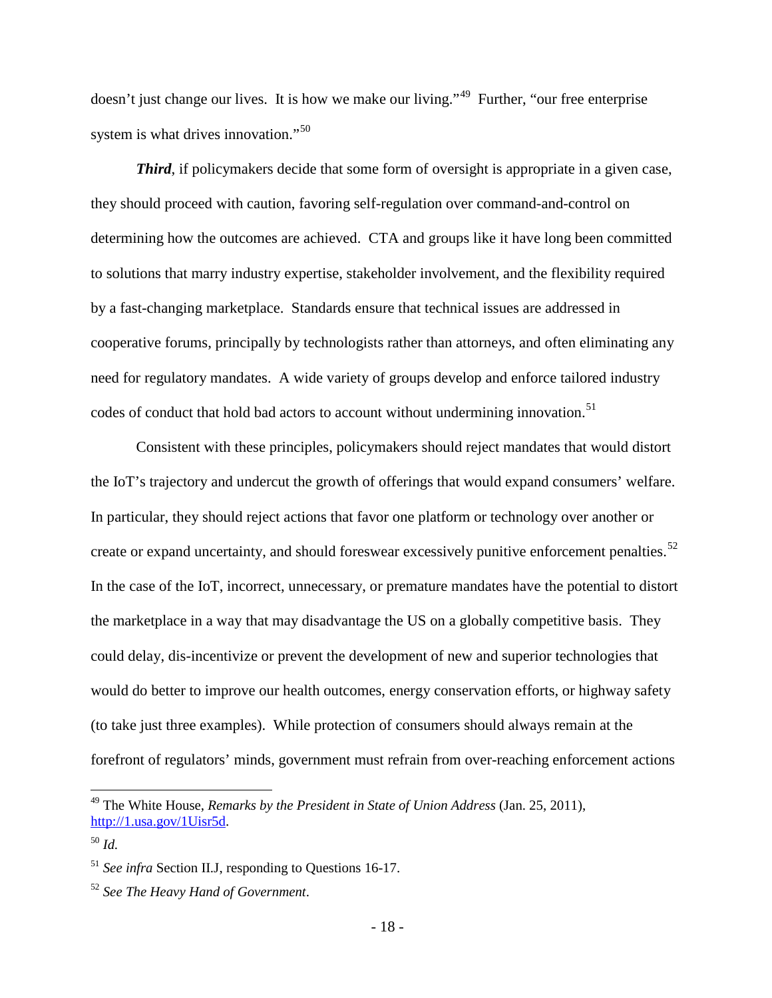doesn't just change our lives. It is how we make our living."<sup>[49](#page-19-0)</sup> Further, "our free enterprise" system is what drives innovation."<sup>[50](#page-19-1)</sup>

*Third*, if policymakers decide that some form of oversight is appropriate in a given case, they should proceed with caution, favoring self-regulation over command-and-control on determining how the outcomes are achieved. CTA and groups like it have long been committed to solutions that marry industry expertise, stakeholder involvement, and the flexibility required by a fast-changing marketplace. Standards ensure that technical issues are addressed in cooperative forums, principally by technologists rather than attorneys, and often eliminating any need for regulatory mandates. A wide variety of groups develop and enforce tailored industry codes of conduct that hold bad actors to account without undermining innovation.<sup>[51](#page-19-2)</sup>

Consistent with these principles, policymakers should reject mandates that would distort the IoT's trajectory and undercut the growth of offerings that would expand consumers' welfare. In particular, they should reject actions that favor one platform or technology over another or create or expand uncertainty, and should foreswear excessively punitive enforcement penalties.<sup>52</sup> In the case of the IoT, incorrect, unnecessary, or premature mandates have the potential to distort the marketplace in a way that may disadvantage the US on a globally competitive basis. They could delay, dis-incentivize or prevent the development of new and superior technologies that would do better to improve our health outcomes, energy conservation efforts, or highway safety (to take just three examples). While protection of consumers should always remain at the forefront of regulators' minds, government must refrain from over-reaching enforcement actions

<span id="page-19-0"></span> <sup>49</sup> The White House, *Remarks by the President in State of Union Address* (Jan. 25, 2011), [http://1.usa.gov/1Uisr5d.](http://1.usa.gov/1Uisr5d)

<span id="page-19-1"></span><sup>50</sup> *Id.*

<span id="page-19-2"></span><sup>51</sup> *See infra* Section II.J, responding to Questions 16-17.

<span id="page-19-3"></span><sup>52</sup> *See The Heavy Hand of Government*.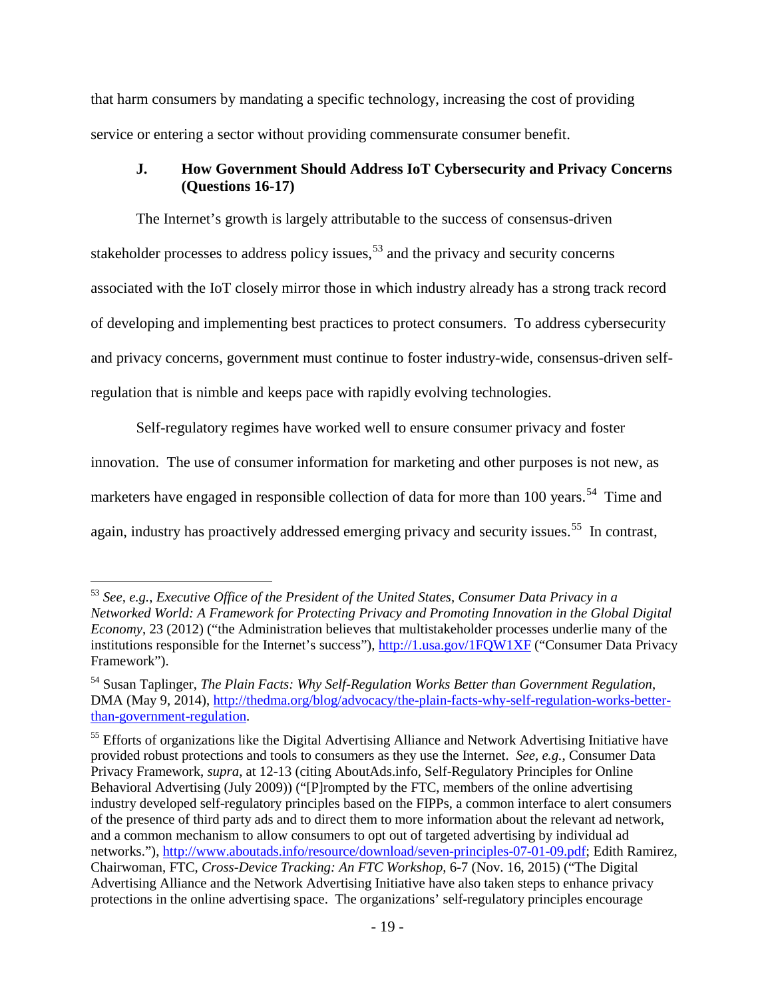that harm consumers by mandating a specific technology, increasing the cost of providing service or entering a sector without providing commensurate consumer benefit.

### <span id="page-20-0"></span>**J. How Government Should Address IoT Cybersecurity and Privacy Concerns (Questions 16-17)**

The Internet's growth is largely attributable to the success of consensus-driven stakeholder processes to address policy issues,  $53$  and the privacy and security concerns associated with the IoT closely mirror those in which industry already has a strong track record of developing and implementing best practices to protect consumers. To address cybersecurity and privacy concerns, government must continue to foster industry-wide, consensus-driven selfregulation that is nimble and keeps pace with rapidly evolving technologies.

Self-regulatory regimes have worked well to ensure consumer privacy and foster innovation. The use of consumer information for marketing and other purposes is not new, as marketers have engaged in responsible collection of data for more than 100 years.<sup>54</sup> Time and again, industry has proactively addressed emerging privacy and security issues.<sup>55</sup> In contrast,

<span id="page-20-1"></span> <sup>53</sup> *See, e.g.*, *Executive Office of the President of the United States, Consumer Data Privacy in a Networked World: A Framework for Protecting Privacy and Promoting Innovation in the Global Digital Economy*, 23 (2012) ("the Administration believes that multistakeholder processes underlie many of the institutions responsible for the Internet's success"),<http://1.usa.gov/1FQW1XF> ("Consumer Data Privacy Framework").

<span id="page-20-2"></span><sup>54</sup> Susan Taplinger, *The Plain Facts: Why Self-Regulation Works Better than Government Regulation*, DMA (May 9, 2014), [http://thedma.org/blog/advocacy/the-plain-facts-why-self-regulation-works-better](http://thedma.org/blog/advocacy/the-plain-facts-why-self-regulation-works-better-than-government-regulation/)[than-government-regulation.](http://thedma.org/blog/advocacy/the-plain-facts-why-self-regulation-works-better-than-government-regulation/)

<span id="page-20-3"></span><sup>&</sup>lt;sup>55</sup> Efforts of organizations like the Digital Advertising Alliance and Network Advertising Initiative have provided robust protections and tools to consumers as they use the Internet. *See, e.g.*, Consumer Data Privacy Framework, *supra*, at 12-13 (citing AboutAds.info, Self-Regulatory Principles for Online Behavioral Advertising (July 2009)) ("[P]rompted by the FTC, members of the online advertising industry developed self-regulatory principles based on the FIPPs, a common interface to alert consumers of the presence of third party ads and to direct them to more information about the relevant ad network, and a common mechanism to allow consumers to opt out of targeted advertising by individual ad networks."), [http://www.aboutads.info/resource/download/seven-principles-07-01-09.pdf;](http://www.aboutads.info/resource/download/seven-principles-07-01-09.pdf) Edith Ramirez, Chairwoman, FTC, *Cross-Device Tracking: An FTC Workshop*, 6-7 (Nov. 16, 2015) ("The Digital Advertising Alliance and the Network Advertising Initiative have also taken steps to enhance privacy protections in the online advertising space. The organizations' self-regulatory principles encourage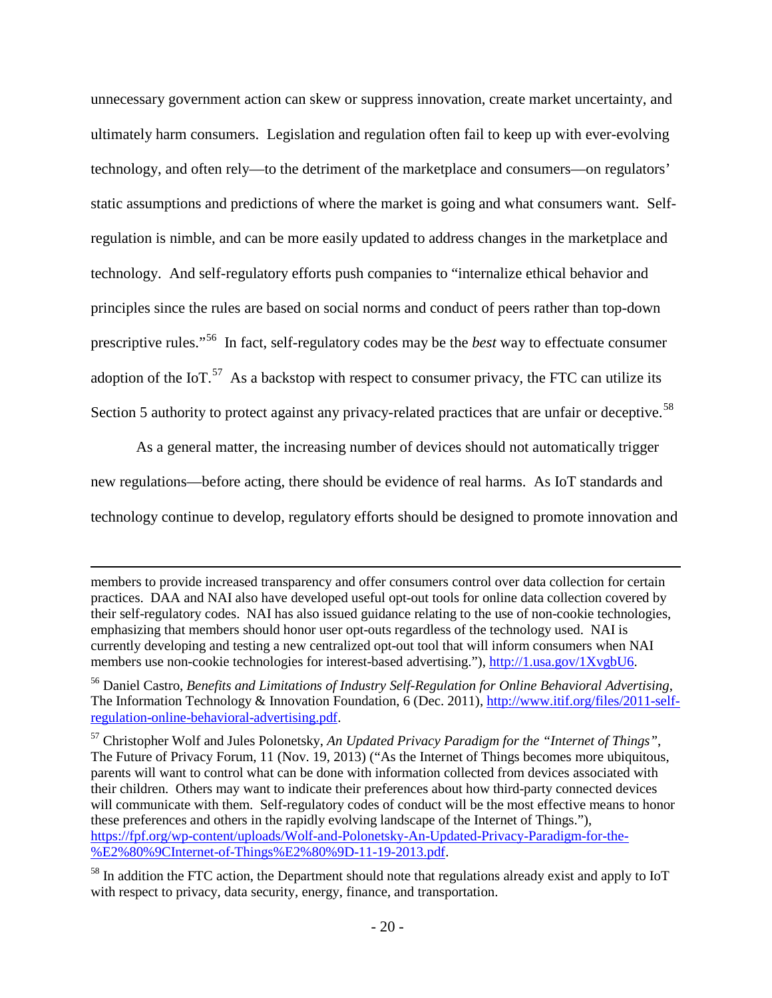unnecessary government action can skew or suppress innovation, create market uncertainty, and ultimately harm consumers. Legislation and regulation often fail to keep up with ever-evolving technology, and often rely—to the detriment of the marketplace and consumers—on regulators' static assumptions and predictions of where the market is going and what consumers want. Selfregulation is nimble, and can be more easily updated to address changes in the marketplace and technology. And self-regulatory efforts push companies to "internalize ethical behavior and principles since the rules are based on social norms and conduct of peers rather than top-down prescriptive rules."[56](#page-21-0) In fact, self-regulatory codes may be the *best* way to effectuate consumer adoption of the IoT.<sup>[57](#page-21-1)</sup> As a backstop with respect to consumer privacy, the FTC can utilize its Section 5 authority to protect against any privacy-related practices that are unfair or deceptive.<sup>[58](#page-21-2)</sup>

As a general matter, the increasing number of devices should not automatically trigger new regulations—before acting, there should be evidence of real harms. As IoT standards and technology continue to develop, regulatory efforts should be designed to promote innovation and

 $\overline{a}$ 

members to provide increased transparency and offer consumers control over data collection for certain practices. DAA and NAI also have developed useful opt-out tools for online data collection covered by their self-regulatory codes. NAI has also issued guidance relating to the use of non-cookie technologies, emphasizing that members should honor user opt-outs regardless of the technology used. NAI is currently developing and testing a new centralized opt-out tool that will inform consumers when NAI members use non-cookie technologies for interest-based advertising."), [http://1.usa.gov/1XvgbU6.](http://1.usa.gov/1XvgbU6)

<span id="page-21-0"></span><sup>56</sup> Daniel Castro, *Benefits and Limitations of Industry Self-Regulation for Online Behavioral Advertising*, The Information Technology & Innovation Foundation, 6 (Dec. 2011), [http://www.itif.org/files/2011-self](http://www.itif.org/files/2011-self-regulation-online-behavioral-advertising.pdf)[regulation-online-behavioral-advertising.pdf.](http://www.itif.org/files/2011-self-regulation-online-behavioral-advertising.pdf)

<span id="page-21-1"></span><sup>57</sup> Christopher Wolf and Jules Polonetsky, *An Updated Privacy Paradigm for the "Internet of Things"*, The Future of Privacy Forum, 11 (Nov. 19, 2013) ("As the Internet of Things becomes more ubiquitous, parents will want to control what can be done with information collected from devices associated with their children. Others may want to indicate their preferences about how third-party connected devices will communicate with them. Self-regulatory codes of conduct will be the most effective means to honor these preferences and others in the rapidly evolving landscape of the Internet of Things."), [https://fpf.org/wp-content/uploads/Wolf-and-Polonetsky-An-Updated-Privacy-Paradigm-for-the-](https://fpf.org/wp-content/uploads/Wolf-and-Polonetsky-An-Updated-Privacy-Paradigm-for-the-%E2%80%9CInternet-of-Things%E2%80%9D-11-19-2013.pdf) [%E2%80%9CInternet-of-Things%E2%80%9D-11-19-2013.pdf.](https://fpf.org/wp-content/uploads/Wolf-and-Polonetsky-An-Updated-Privacy-Paradigm-for-the-%E2%80%9CInternet-of-Things%E2%80%9D-11-19-2013.pdf)

<span id="page-21-2"></span> $58$  In addition the FTC action, the Department should note that regulations already exist and apply to IoT with respect to privacy, data security, energy, finance, and transportation.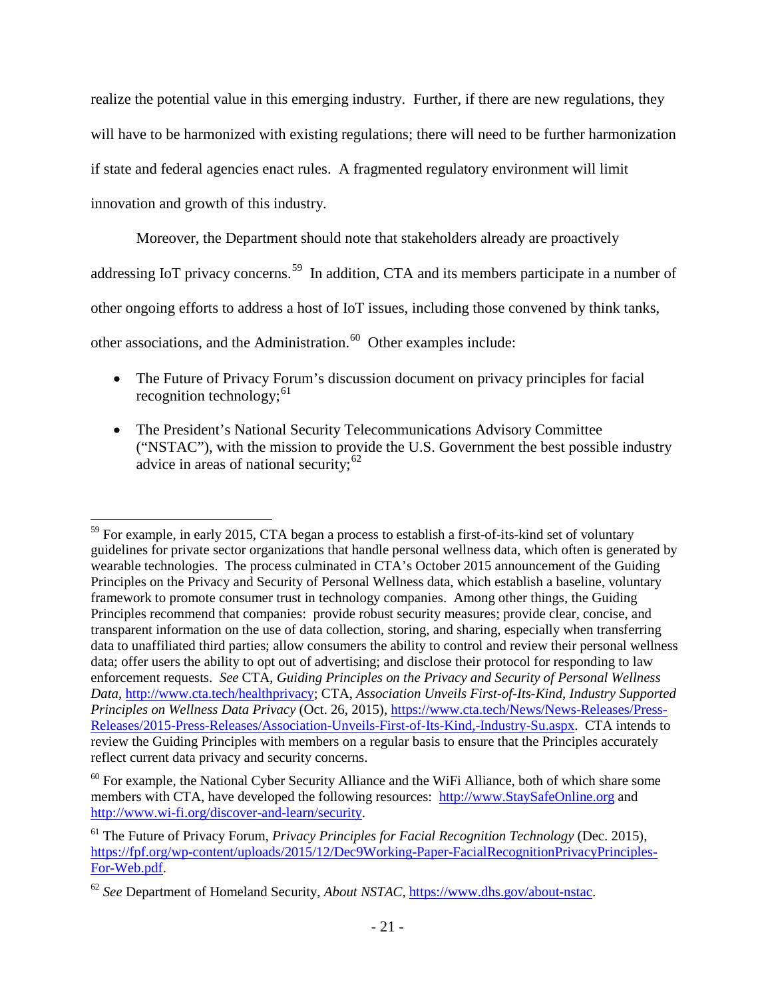realize the potential value in this emerging industry. Further, if there are new regulations, they will have to be harmonized with existing regulations; there will need to be further harmonization if state and federal agencies enact rules. A fragmented regulatory environment will limit innovation and growth of this industry.

Moreover, the Department should note that stakeholders already are proactively addressing IoT privacy concerns.<sup>59</sup> In addition, CTA and its members participate in a number of other ongoing efforts to address a host of IoT issues, including those convened by think tanks,

other associations, and the Administration.<sup>60</sup> Other examples include:

- The Future of Privacy Forum's discussion document on privacy principles for facial recognition technology;  $61$
- The President's National Security Telecommunications Advisory Committee ("NSTAC"), with the mission to provide the U.S. Government the best possible industry advice in areas of national security;  $62$

<span id="page-22-0"></span> $59$  For example, in early 2015, CTA began a process to establish a first-of-its-kind set of voluntary guidelines for private sector organizations that handle personal wellness data, which often is generated by wearable technologies. The process culminated in CTA's October 2015 announcement of the Guiding Principles on the Privacy and Security of Personal Wellness data, which establish a baseline, voluntary framework to promote consumer trust in technology companies. Among other things, the Guiding Principles recommend that companies: provide robust security measures; provide clear, concise, and transparent information on the use of data collection, storing, and sharing, especially when transferring data to unaffiliated third parties; allow consumers the ability to control and review their personal wellness data; offer users the ability to opt out of advertising; and disclose their protocol for responding to law enforcement requests. *See* CTA, *Guiding Principles on the Privacy and Security of Personal Wellness Data*, [http://www.cta.tech/healthprivacy;](http://www.cta.tech/healthprivacy) CTA, *Association Unveils First-of-Its-Kind, Industry Supported Principles on Wellness Data Privacy* (Oct. 26, 2015), [https://www.cta.tech/News/News-Releases/Press-](https://www.cta.tech/News/News-Releases/Press-Releases/2015-Press-Releases/Association-Unveils-First-of-Its-Kind,-Industry-Su.aspx)[Releases/2015-Press-Releases/Association-Unveils-First-of-Its-Kind,-Industry-Su.aspx.](https://www.cta.tech/News/News-Releases/Press-Releases/2015-Press-Releases/Association-Unveils-First-of-Its-Kind,-Industry-Su.aspx) CTA intends to review the Guiding Principles with members on a regular basis to ensure that the Principles accurately reflect current data privacy and security concerns.

<span id="page-22-1"></span> $60$  For example, the National Cyber Security Alliance and the WiFi Alliance, both of which share some members with CTA, have developed the following resources: [http://www.StaySafeOnline.org](http://www.staysafeonline.org/) and [http://www.wi-fi.org/discover-and-learn/security.](http://www.wi-fi.org/discover-and-learn/security)

<span id="page-22-2"></span><sup>61</sup> The Future of Privacy Forum, *Privacy Principles for Facial Recognition Technology* (Dec. 2015), [https://fpf.org/wp-content/uploads/2015/12/Dec9Working-Paper-FacialRecognitionPrivacyPrinciples-](https://fpf.org/wp-content/uploads/2015/12/Dec9Working-Paper-FacialRecognitionPrivacyPrinciples-For-Web.pdf)[For-Web.pdf.](https://fpf.org/wp-content/uploads/2015/12/Dec9Working-Paper-FacialRecognitionPrivacyPrinciples-For-Web.pdf)

<span id="page-22-3"></span><sup>62</sup> *See* Department of Homeland Security, *About NSTAC*, [https://www.dhs.gov/about-nstac.](https://www.dhs.gov/about-nstac)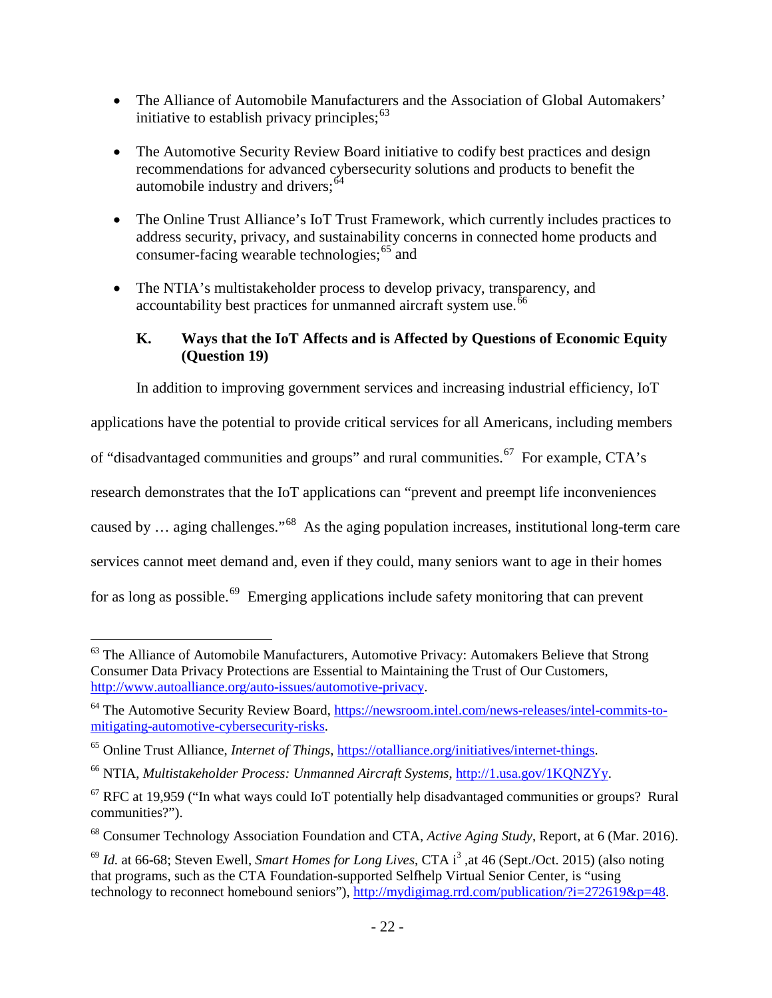- The Alliance of Automobile Manufacturers and the Association of Global Automakers' initiative to establish privacy principles;  $63$
- The Automotive Security Review Board initiative to codify best practices and design recommendations for advanced cybersecurity solutions and products to benefit the automobile industry and drivers;  $64$
- The Online Trust Alliance's IoT Trust Framework, which currently includes practices to address security, privacy, and sustainability concerns in connected home products and consumer-facing wearable technologies;<sup>[65](#page-23-3)</sup> and
- The NTIA's multistakeholder process to develop privacy, transparency, and accountability best practices for unmanned aircraft system use.<sup>[66](#page-23-4)</sup>

## <span id="page-23-0"></span>**K. Ways that the IoT Affects and is Affected by Questions of Economic Equity (Question 19)**

In addition to improving government services and increasing industrial efficiency, IoT

applications have the potential to provide critical services for all Americans, including members

of "disadvantaged communities and groups" and rural communities.<sup>[67](#page-23-5)</sup> For example, CTA's

research demonstrates that the IoT applications can "prevent and preempt life inconveniences

caused by … aging challenges."[68](#page-23-6) As the aging population increases, institutional long-term care

services cannot meet demand and, even if they could, many seniors want to age in their homes

for as long as possible.<sup>[69](#page-23-7)</sup> Emerging applications include safety monitoring that can prevent

<span id="page-23-1"></span><sup>&</sup>lt;sup>63</sup> The Alliance of Automobile Manufacturers, Automotive Privacy: Automakers Believe that Strong Consumer Data Privacy Protections are Essential to Maintaining the Trust of Our Customers, [http://www.autoalliance.org/auto-issues/automotive-privacy.](http://www.autoalliance.org/auto-issues/automotive-privacy)

<span id="page-23-2"></span><sup>&</sup>lt;sup>64</sup> The Automotive Security Review Board, [https://newsroom.intel.com/news-releases/intel-commits-to](https://newsroom.intel.com/news-releases/intel-commits-to-mitigating-automotive-cybersecurity-risks/)[mitigating-automotive-cybersecurity-risks.](https://newsroom.intel.com/news-releases/intel-commits-to-mitigating-automotive-cybersecurity-risks/)

<span id="page-23-3"></span><sup>65</sup> Online Trust Alliance, *Internet of Things*, [https://otalliance.org/initiatives/internet-things.](https://otalliance.org/initiatives/internet-things)

<span id="page-23-4"></span><sup>66</sup> NTIA, *Multistakeholder Process: Unmanned Aircraft Systems*, [http://1.usa.gov/1KQNZYy.](http://1.usa.gov/1KQNZYy)

<span id="page-23-5"></span> $67$  RFC at 19,959 ("In what ways could IoT potentially help disadvantaged communities or groups? Rural communities?").

<span id="page-23-6"></span><sup>68</sup> Consumer Technology Association Foundation and CTA, *Active Aging Study*, Report, at 6 (Mar. 2016).

<span id="page-23-7"></span><sup>&</sup>lt;sup>69</sup> *Id.* at 66-68; Steven Ewell, *Smart Homes for Long Lives*, CTA i<sup>3</sup>, at 46 (Sept./Oct. 2015) (also noting that programs, such as the CTA Foundation-supported Selfhelp Virtual Senior Center, is "using technology to reconnect homebound seniors"), [http://mydigimag.rrd.com/publication/?i=272619&p=48.](http://mydigimag.rrd.com/publication/?i=272619&p=48)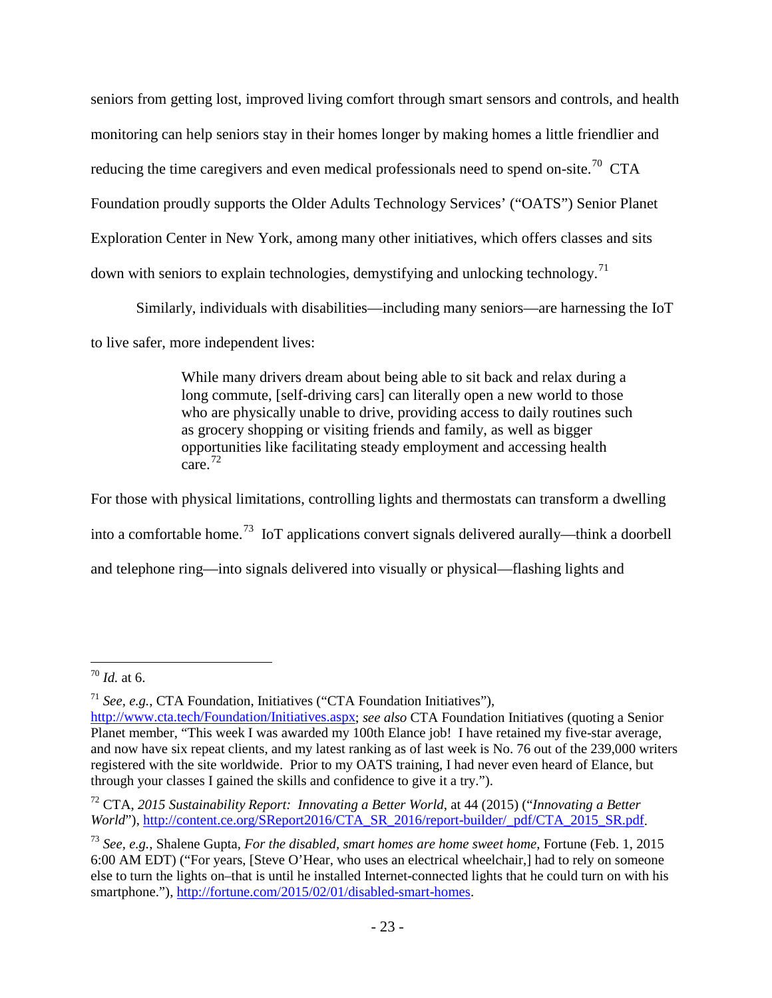seniors from getting lost, improved living comfort through smart sensors and controls, and health monitoring can help seniors stay in their homes longer by making homes a little friendlier and reducing the time caregivers and even medical professionals need to spend on-site.<sup>[70](#page-24-0)</sup> CTA Foundation proudly supports the Older Adults Technology Services' ("OATS") Senior Planet Exploration Center in New York, among many other initiatives, which offers classes and sits down with seniors to explain technologies, demystifying and unlocking technology.<sup>[71](#page-24-1)</sup>

Similarly, individuals with disabilities—including many seniors—are harnessing the IoT

to live safer, more independent lives:

While many drivers dream about being able to sit back and relax during a long commute, [self-driving cars] can literally open a new world to those who are physically unable to drive, providing access to daily routines such as grocery shopping or visiting friends and family, as well as bigger opportunities like facilitating steady employment and accessing health  $care.$ <sup>72</sup>

For those with physical limitations, controlling lights and thermostats can transform a dwelling into a comfortable home.<sup>[73](#page-24-3)</sup> IoT applications convert signals delivered aurally—think a doorbell and telephone ring—into signals delivered into visually or physical—flashing lights and

<span id="page-24-0"></span> <sup>70</sup> *Id.* at 6.

<span id="page-24-1"></span><sup>71</sup> *See, e.g.*, CTA Foundation, Initiatives ("CTA Foundation Initiatives"), [http://www.cta.tech/Foundation/Initiatives.aspx;](http://www.cta.tech/Foundation/Initiatives.aspx) *see also* CTA Foundation Initiatives (quoting a Senior Planet member, "This week I was awarded my 100th Elance job! I have retained my five-star average, and now have six repeat clients, and my latest ranking as of last week is No. 76 out of the 239,000 writers registered with the site worldwide. Prior to my OATS training, I had never even heard of Elance, but through your classes I gained the skills and confidence to give it a try.").

<span id="page-24-2"></span><sup>72</sup> CTA, *2015 Sustainability Report: Innovating a Better World*, at 44 (2015) ("*Innovating a Better World*"), [http://content.ce.org/SReport2016/CTA\\_SR\\_2016/report-builder/\\_pdf/CTA\\_2015\\_SR.pdf.](http://content.ce.org/SReport2016/CTA_SR_2016/report-builder/_pdf/CTA_2015_SR.pdf)

<span id="page-24-3"></span><sup>73</sup> *See, e.g.*, Shalene Gupta, *For the disabled, smart homes are home sweet home*, Fortune (Feb. 1, 2015 6:00 AM EDT) ("For years, [Steve O'Hear, who uses an electrical wheelchair,] had to rely on someone else to turn the lights on–that is until he installed Internet-connected lights that he could turn on with his smartphone."), [http://fortune.com/2015/02/01/disabled-smart-homes.](http://fortune.com/2015/02/01/disabled-smart-homes/)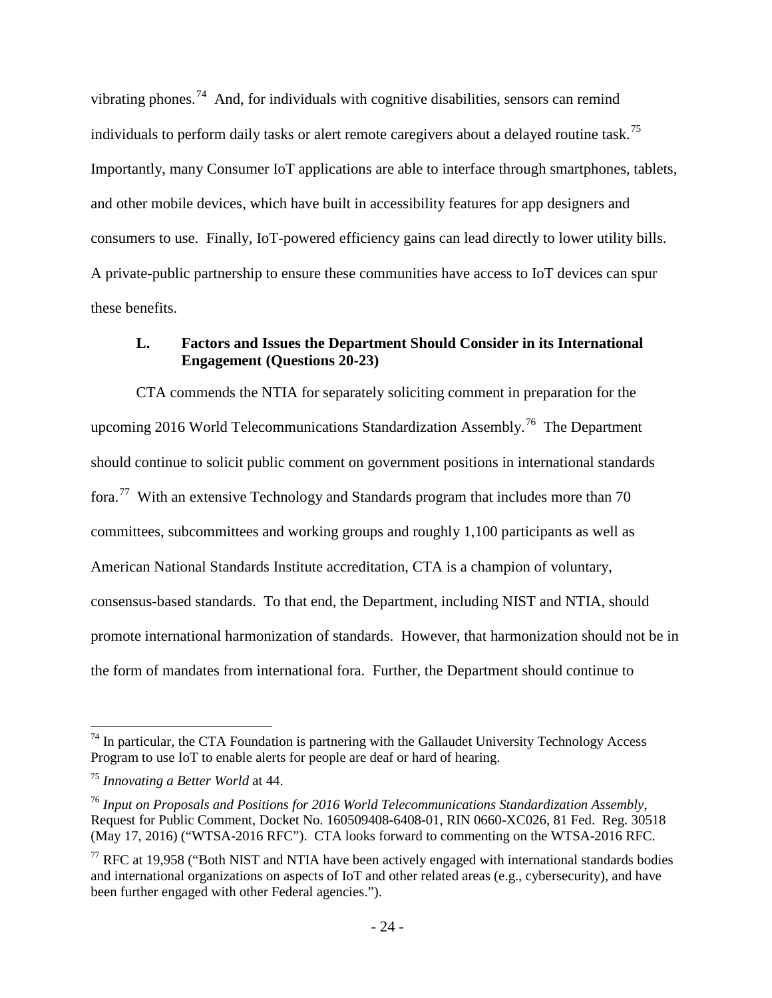vibrating phones.<sup>[74](#page-25-1)</sup> And, for individuals with cognitive disabilities, sensors can remind individuals to perform daily tasks or alert remote caregivers about a delayed routine task.<sup>75</sup> Importantly, many Consumer IoT applications are able to interface through smartphones, tablets, and other mobile devices, which have built in accessibility features for app designers and consumers to use. Finally, IoT-powered efficiency gains can lead directly to lower utility bills. A private-public partnership to ensure these communities have access to IoT devices can spur these benefits.

### <span id="page-25-0"></span>**L. Factors and Issues the Department Should Consider in its International Engagement (Questions 20-23)**

CTA commends the NTIA for separately soliciting comment in preparation for the upcoming 2016 World Telecommunications Standardization Assembly.<sup>[76](#page-25-3)</sup> The Department should continue to solicit public comment on government positions in international standards fora.[77](#page-25-4) With an extensive Technology and Standards program that includes more than 70 committees, subcommittees and working groups and roughly 1,100 participants as well as American National Standards Institute accreditation, CTA is a champion of voluntary, consensus-based standards. To that end, the Department, including NIST and NTIA, should promote international harmonization of standards. However, that harmonization should not be in the form of mandates from international fora. Further, the Department should continue to

<span id="page-25-1"></span> $74$  In particular, the CTA Foundation is partnering with the Gallaudet University Technology Access Program to use IoT to enable alerts for people are deaf or hard of hearing.

<span id="page-25-2"></span><sup>75</sup> *Innovating a Better World* at 44.

<span id="page-25-3"></span><sup>76</sup> *Input on Proposals and Positions for 2016 World Telecommunications Standardization Assembly*, Request for Public Comment, Docket No. 160509408-6408-01, RIN 0660-XC026, 81 Fed. Reg. 30518 (May 17, 2016) ("WTSA-2016 RFC"). CTA looks forward to commenting on the WTSA-2016 RFC.

<span id="page-25-4"></span> $77$  RFC at 19,958 ("Both NIST and NTIA have been actively engaged with international standards bodies and international organizations on aspects of IoT and other related areas (e.g., cybersecurity), and have been further engaged with other Federal agencies.").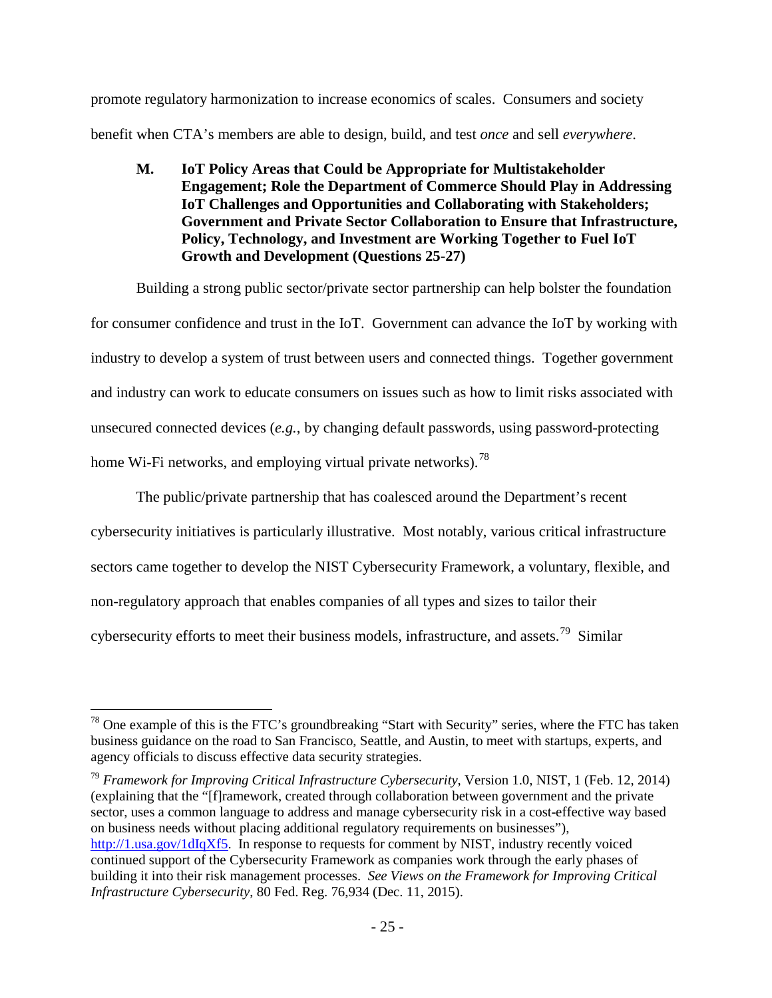promote regulatory harmonization to increase economics of scales. Consumers and society benefit when CTA's members are able to design, build, and test *once* and sell *everywhere*.

<span id="page-26-0"></span>**M. IoT Policy Areas that Could be Appropriate for Multistakeholder Engagement; Role the Department of Commerce Should Play in Addressing IoT Challenges and Opportunities and Collaborating with Stakeholders; Government and Private Sector Collaboration to Ensure that Infrastructure, Policy, Technology, and Investment are Working Together to Fuel IoT Growth and Development (Questions 25-27)**

Building a strong public sector/private sector partnership can help bolster the foundation for consumer confidence and trust in the IoT. Government can advance the IoT by working with industry to develop a system of trust between users and connected things. Together government and industry can work to educate consumers on issues such as how to limit risks associated with unsecured connected devices (*e.g.*, by changing default passwords, using password-protecting home Wi-Fi networks, and employing virtual private networks).<sup>[78](#page-26-1)</sup>

The public/private partnership that has coalesced around the Department's recent cybersecurity initiatives is particularly illustrative. Most notably, various critical infrastructure sectors came together to develop the NIST Cybersecurity Framework, a voluntary, flexible, and non-regulatory approach that enables companies of all types and sizes to tailor their cybersecurity efforts to meet their business models, infrastructure, and assets.[79](#page-26-2) Similar

<span id="page-26-2"></span><sup>79</sup> *Framework for Improving Critical Infrastructure Cybersecurity*, Version 1.0, NIST, 1 (Feb. 12, 2014) (explaining that the "[f]ramework, created through collaboration between government and the private sector, uses a common language to address and manage cybersecurity risk in a cost-effective way based on business needs without placing additional regulatory requirements on businesses"), [http://1.usa.gov/1dIqXf5.](http://1.usa.gov/1dIqXf5) In response to requests for comment by NIST, industry recently voiced continued support of the Cybersecurity Framework as companies work through the early phases of building it into their risk management processes. *See Views on the Framework for Improving Critical Infrastructure Cybersecurity*, 80 Fed. Reg. 76,934 (Dec. 11, 2015).

<span id="page-26-1"></span> <sup>78</sup> One example of this is the FTC's groundbreaking "Start with Security" series, where the FTC has taken business guidance on the road to San Francisco, Seattle, and Austin, to meet with startups, experts, and agency officials to discuss effective data security strategies.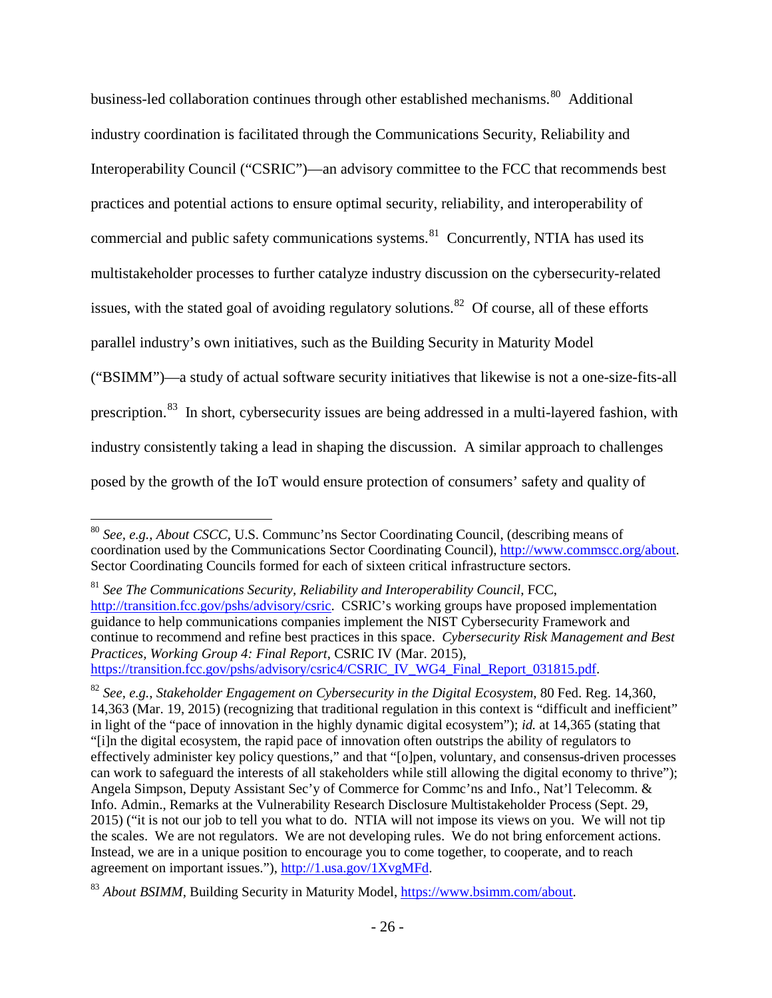business-led collaboration continues through other established mechanisms.<sup>80</sup> Additional industry coordination is facilitated through the Communications Security, Reliability and Interoperability Council ("CSRIC")—an advisory committee to the FCC that recommends best practices and potential actions to ensure optimal security, reliability, and interoperability of commercial and public safety communications systems. $81$  Concurrently, NTIA has used its multistakeholder processes to further catalyze industry discussion on the cybersecurity-related issues, with the stated goal of avoiding regulatory solutions.<sup>82</sup> Of course, all of these efforts parallel industry's own initiatives, such as the Building Security in Maturity Model ("BSIMM")—a study of actual software security initiatives that likewise is not a one-size-fits-all prescription.<sup>[83](#page-27-3)</sup> In short, cybersecurity issues are being addressed in a multi-layered fashion, with industry consistently taking a lead in shaping the discussion. A similar approach to challenges posed by the growth of the IoT would ensure protection of consumers' safety and quality of

<span id="page-27-0"></span> <sup>80</sup> *See, e.g.*, *About CSCC*, U.S. Communc'ns Sector Coordinating Council, (describing means of coordination used by the Communications Sector Coordinating Council), [http://www.commscc.org/about.](http://www.commscc.org/about/) Sector Coordinating Councils formed for each of sixteen critical infrastructure sectors.

<span id="page-27-1"></span><sup>81</sup> *See The Communications Security, Reliability and Interoperability Council*, FCC, [http://transition.fcc.gov/pshs/advisory/csric.](http://transition.fcc.gov/pshs/advisory/csric/) CSRIC's working groups have proposed implementation guidance to help communications companies implement the NIST Cybersecurity Framework and continue to recommend and refine best practices in this space. *Cybersecurity Risk Management and Best Practices, Working Group 4: Final Report*, CSRIC IV (Mar. 2015), [https://transition.fcc.gov/pshs/advisory/csric4/CSRIC\\_IV\\_WG4\\_Final\\_Report\\_031815.pdf.](https://transition.fcc.gov/pshs/advisory/csric4/CSRIC_IV_WG4_Final_Report_031815.pdf)

<span id="page-27-2"></span><sup>82</sup> *See, e.g.*, *Stakeholder Engagement on Cybersecurity in the Digital Ecosystem*, 80 Fed. Reg. 14,360, 14,363 (Mar. 19, 2015) (recognizing that traditional regulation in this context is "difficult and inefficient" in light of the "pace of innovation in the highly dynamic digital ecosystem"); *id.* at 14,365 (stating that "[i]n the digital ecosystem, the rapid pace of innovation often outstrips the ability of regulators to effectively administer key policy questions," and that "[o]pen, voluntary, and consensus-driven processes can work to safeguard the interests of all stakeholders while still allowing the digital economy to thrive"); Angela Simpson, Deputy Assistant Sec'y of Commerce for Commc'ns and Info., Nat'l Telecomm. & Info. Admin., Remarks at the Vulnerability Research Disclosure Multistakeholder Process (Sept. 29, 2015) ("it is not our job to tell you what to do. NTIA will not impose its views on you. We will not tip the scales. We are not regulators. We are not developing rules. We do not bring enforcement actions. Instead, we are in a unique position to encourage you to come together, to cooperate, and to reach agreement on important issues."), [http://1.usa.gov/1XvgMFd.](http://1.usa.gov/1XvgMFd)

<span id="page-27-3"></span><sup>83</sup> *About BSIMM*, Building Security in Maturity Model, [https://www.bsimm.com/about.](https://www.bsimm.com/about/)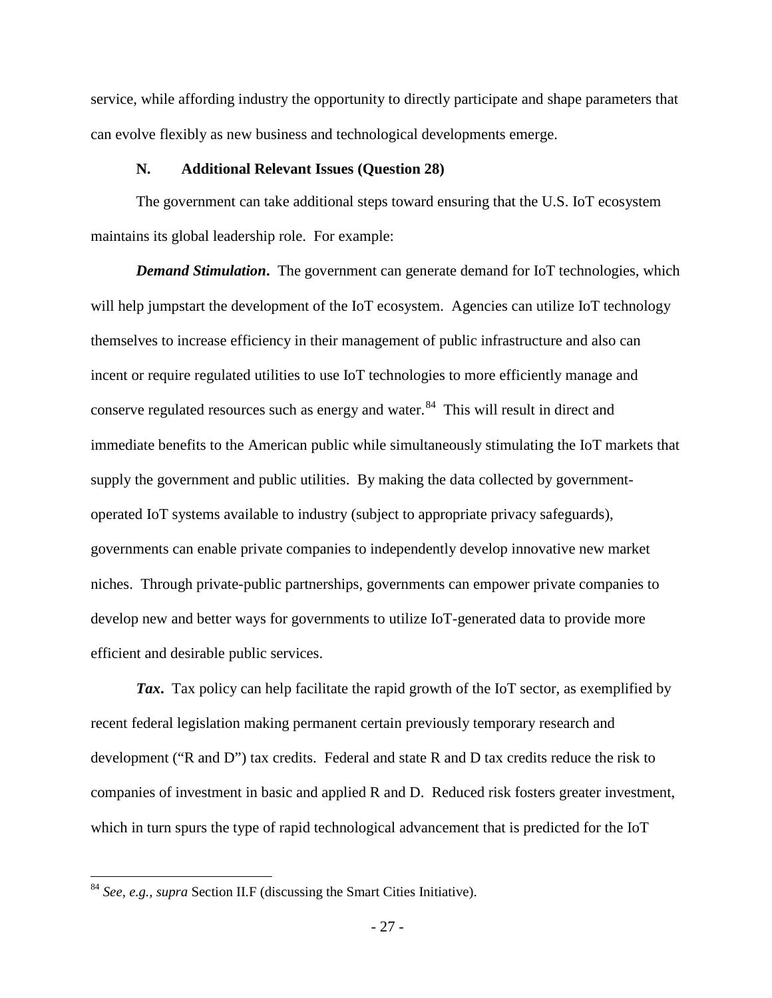service, while affording industry the opportunity to directly participate and shape parameters that can evolve flexibly as new business and technological developments emerge.

#### **N. Additional Relevant Issues (Question 28)**

<span id="page-28-0"></span>The government can take additional steps toward ensuring that the U.S. IoT ecosystem maintains its global leadership role. For example:

*Demand Stimulation*. The government can generate demand for IoT technologies, which will help jumpstart the development of the IoT ecosystem. Agencies can utilize IoT technology themselves to increase efficiency in their management of public infrastructure and also can incent or require regulated utilities to use IoT technologies to more efficiently manage and conserve regulated resources such as energy and water.<sup>84</sup> This will result in direct and immediate benefits to the American public while simultaneously stimulating the IoT markets that supply the government and public utilities. By making the data collected by governmentoperated IoT systems available to industry (subject to appropriate privacy safeguards), governments can enable private companies to independently develop innovative new market niches. Through private-public partnerships, governments can empower private companies to develop new and better ways for governments to utilize IoT-generated data to provide more efficient and desirable public services.

*Tax***.** Tax policy can help facilitate the rapid growth of the IoT sector, as exemplified by recent federal legislation making permanent certain previously temporary research and development ("R and D") tax credits. Federal and state R and D tax credits reduce the risk to companies of investment in basic and applied R and D. Reduced risk fosters greater investment, which in turn spurs the type of rapid technological advancement that is predicted for the IoT

<span id="page-28-1"></span> <sup>84</sup> *See, e.g.*, *supra* Section II.F (discussing the Smart Cities Initiative).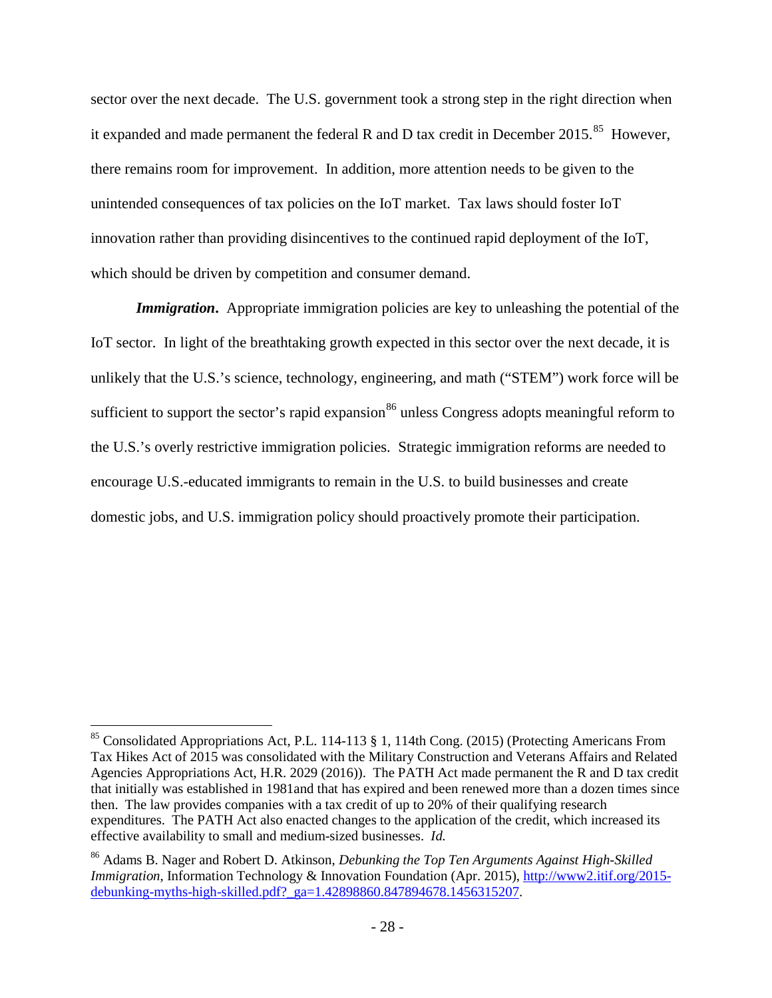sector over the next decade. The U.S. government took a strong step in the right direction when it expanded and made permanent the federal R and D tax credit in December 2015.<sup>85</sup> However, there remains room for improvement. In addition, more attention needs to be given to the unintended consequences of tax policies on the IoT market. Tax laws should foster IoT innovation rather than providing disincentives to the continued rapid deployment of the IoT, which should be driven by competition and consumer demand.

*Immigration.* Appropriate immigration policies are key to unleashing the potential of the IoT sector. In light of the breathtaking growth expected in this sector over the next decade, it is unlikely that the U.S.'s science, technology, engineering, and math ("STEM") work force will be sufficient to support the sector's rapid expansion<sup>[86](#page-29-1)</sup> unless Congress adopts meaningful reform to the U.S.'s overly restrictive immigration policies. Strategic immigration reforms are needed to encourage U.S.-educated immigrants to remain in the U.S. to build businesses and create domestic jobs, and U.S. immigration policy should proactively promote their participation.

<span id="page-29-0"></span><sup>&</sup>lt;sup>85</sup> Consolidated Appropriations Act, P.L. 114-113 § 1, 114th Cong. (2015) (Protecting Americans From Tax Hikes Act of 2015 was consolidated with the Military Construction and Veterans Affairs and Related Agencies Appropriations Act, H.R. 2029 (2016)). The PATH Act made permanent the R and D tax credit that initially was established in 1981and that has expired and been renewed more than a dozen times since then. The law provides companies with a tax credit of up to 20% of their qualifying research expenditures. The PATH Act also enacted changes to the application of the credit, which increased its effective availability to small and medium-sized businesses. *Id.*

<span id="page-29-1"></span><sup>86</sup> Adams B. Nager and Robert D. Atkinson, *Debunking the Top Ten Arguments Against High-Skilled Immigration*, Information Technology & Innovation Foundation (Apr. 2015), [http://www2.itif.org/2015](http://www2.itif.org/2015-debunking-myths-high-skilled.pdf?_ga=1.42898860.847894678.1456315207) [debunking-myths-high-skilled.pdf?\\_ga=1.42898860.847894678.1456315207.](http://www2.itif.org/2015-debunking-myths-high-skilled.pdf?_ga=1.42898860.847894678.1456315207)